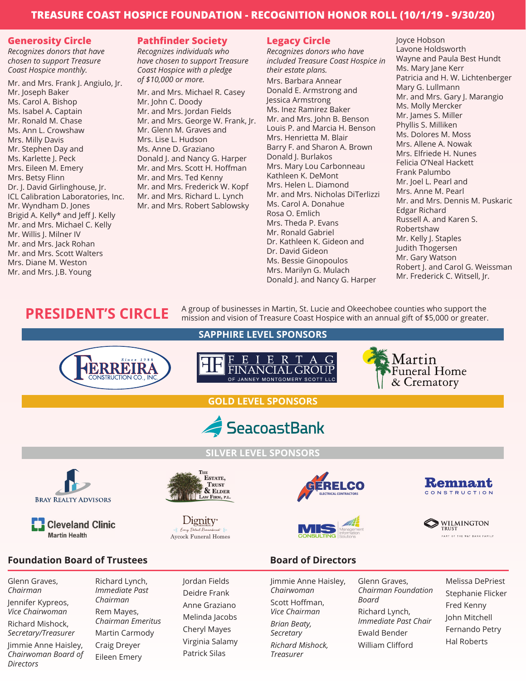# **TREASURE COAST HOSPICE FOUNDATION - RECOGNITION HONOR ROLL (10/1/19 - 9/30/20)**

#### **Generosity Circle**

*Recognizes donors that have chosen to support Treasure Coast Hospice monthly.*

Mr. and Mrs. Frank J. Angiulo, Jr. Mr. Joseph Baker Ms. Carol A. Bishop Ms. Isabel A. Captain Mr. Ronald M. Chase Ms. Ann L. Crowshaw Mrs. Milly Davis Mr. Stephen Day and Ms. Karlette J. Peck Mrs. Eileen M. Emery Mrs. Betsy Flinn Dr. J. David Girlinghouse, Jr. ICL Calibration Laboratories, Inc. Mr. Wyndham D. Jones Brigid A. Kelly\* and Jeff J. Kelly Mr. and Mrs. Michael C. Kelly Mr. Willis J. Milner IV Mr. and Mrs. Jack Rohan Mr. and Mrs. Scott Walters Mrs. Diane M. Weston Mr. and Mrs. J.B. Young

# **Pathfinder Society**

*Recognizes individuals who have chosen to support Treasure Coast Hospice with a pledge of \$10,000 or more.*

Mr. and Mrs. Michael R. Casey Mr. John C. Doody Mr. and Mrs. Jordan Fields Mr. and Mrs. George W. Frank, Jr. Mr. Glenn M. Graves and Mrs. Lise L. Hudson Ms. Anne D. Graziano Donald J. and Nancy G. Harper Mr. and Mrs. Scott H. Hoffman Mr. and Mrs. Ted Kenny Mr. and Mrs. Frederick W. Kopf Mr. and Mrs. Richard L. Lynch Mr. and Mrs. Robert Sablowsky

## **Legacy Circle**

*Recognizes donors who have included Treasure Coast Hospice in their estate plans.*

Mrs. Barbara Annear Donald E. Armstrong and Jessica Armstrong Ms. Inez Ramirez Baker Mr. and Mrs. John B. Benson Louis P. and Marcia H. Benson Mrs. Henrietta M. Blair Barry F. and Sharon A. Brown Donald J. Burlakos Mrs. Mary Lou Carbonneau Kathleen K. DeMont Mrs. Helen L. Diamond Mr. and Mrs. Nicholas DiTerlizzi Ms. Carol A. Donahue Rosa O. Emlich Mrs. Theda P. Evans Mr. Ronald Gabriel Dr. Kathleen K. Gideon and Dr. David Gideon Ms. Bessie Ginopoulos Mrs. Marilyn G. Mulach Donald J. and Nancy G. Harper

Joyce Hobson Lavone Holdsworth Wayne and Paula Best Hundt Ms. Mary Jane Kerr Patricia and H. W. Lichtenberger Mary G. Lullmann Mr. and Mrs. Gary J. Marangio Ms. Molly Mercker Mr. James S. Miller Phyllis S. Milliken Ms. Dolores M. Moss Mrs. Allene A. Nowak Mrs. Elfriede H. Nunes Felicia O'Neal Hackett Frank Palumbo Mr. Joel L. Pearl and Mrs. Anne M. Pearl Mr. and Mrs. Dennis M. Puskaric Edgar Richard Russell A. and Karen S. Robertshaw Mr. Kelly J. Staples Judith Thogersen Mr. Gary Watson Robert J. and Carol G. Weissman Mr. Frederick C. Witsell, Jr.

# **PRESIDENT'S CIRCLE** A group of businesses in Martin, St. Lucie and Okeechobee counties who support the mission and vision of Treasure Coast Hospice with an annual gift of \$5,000 or greater.





Jennifer Kypreos, *Vice Chairwoman*

Richard Mishock, *Secretary/Treasurer*

Jimmie Anne Haisley, *Chairwoman Board of Directors*

*Immediate Past Chairman* Rem Mayes, *Chairman Emeritus* Martin Carmody Craig Dreyer Eileen Emery

Deidre Frank Anne Graziano Melinda Jacobs Cheryl Mayes Virginia Salamy Patrick Silas

Scott Hoffman, *Vice Chairman*

*Brian Beaty, Secretary*

*Richard Mishock, Treasurer*

*Chairman Foundation Board* Richard Lynch, *Immediate Past Chair* Ewald Bender William Clifford

Melissa DePriest Stephanie Flicker Fred Kenny John Mitchell Fernando Petry Hal Roberts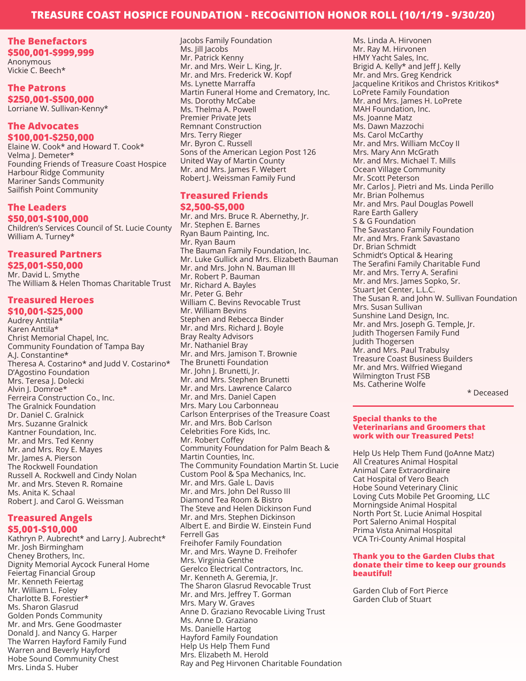## **TREASURE COAST HOSPICE FOUNDATION - RECOGNITION HONOR ROLL (10/1/19 - 9/30/20)**

# **The Benefactors**

**\$500,001-\$999,999** Anonymous Vickie C. Beech\*

## **The Patrons \$250,001-\$500,000** Lorriane W. Sullivan-Kenny\*

#### **The Advocates \$100,001-\$250,000**

Elaine W. Cook\* and Howard T. Cook\* Velma J. Demeter\* Founding Friends of Treasure Coast Hospice Harbour Ridge Community Mariner Sands Community Sailfish Point Community

## **The Leaders**

**\$50,001-\$100,000**

Children's Services Council of St. Lucie County William A. Turney\*

#### **Treasured Partners**

**\$25,001-\$50,000** Mr. David L. Smythe The William & Helen Thomas Charitable Trust

# **Treasured Heroes**

**\$10,001-\$25,000** Audrey Anttila\* Karen Anttila\* Christ Memorial Chapel, Inc. Community Foundation of Tampa Bay A.J. Constantine\* Theresa A. Costarino\* and Judd V. Costarino\* D'Agostino Foundation Mrs. Teresa J. Dolecki Alvin J. Domroe\* Ferreira Construction Co., Inc. The Gralnick Foundation Dr. Daniel C. Gralnick Mrs. Suzanne Gralnick Kantner Foundation, Inc. Mr. and Mrs. Ted Kenny Mr. and Mrs. Roy E. Mayes Mr. James A. Pierson The Rockwell Foundation Russell A. Rockwell and Cindy Nolan Mr. and Mrs. Steven R. Romaine Ms. Anita K. Schaal Robert J. and Carol G. Weissman

#### **Treasured Angels \$5,001-\$10,000**

Kathryn P. Aubrecht\* and Larry J. Aubrecht\* Mr. Josh Birmingham Cheney Brothers, Inc. Dignity Memorial Aycock Funeral Home Feiertag Financial Group Mr. Kenneth Feiertag Mr. William L. Foley Charlotte B. Forestier\* Ms. Sharon Glasrud Golden Ponds Community Mr. and Mrs. Gene Goodmaster Donald J. and Nancy G. Harper The Warren Hayford Family Fund Warren and Beverly Hayford Hobe Sound Community Chest Mrs. Linda S. Huber

Jacobs Family Foundation Ms. Jill Jacobs Mr. Patrick Kenny Mr. and Mrs. Weir L. King, Jr. Mr. and Mrs. Frederick W. Kopf Ms. Lynette Marraffa Martin Funeral Home and Crematory, Inc. Ms. Dorothy McCabe Ms. Thelma A. Powell Premier Private Jets Remnant Construction Mrs. Terry Rieger Mr. Byron C. Russell Sons of the American Legion Post 126 United Way of Martin County Mr. and Mrs. James F. Webert Robert J. Weissman Family Fund

#### **Treasured Friends \$2,500-\$5,000**

Mr. and Mrs. Bruce R. Abernethy, Jr. Mr. Stephen E. Barnes Ryan Baum Painting, Inc. Mr. Ryan Baum The Bauman Family Foundation, Inc. Mr. Luke Gullick and Mrs. Elizabeth Bauman Mr. and Mrs. John N. Bauman III Mr. Robert P. Bauman Mr. Richard A. Bayles Mr. Peter G. Behr William C. Bevins Revocable Trust Mr. William Bevins Stephen and Rebecca Binder Mr. and Mrs. Richard J. Boyle Bray Realty Advisors Mr. Nathaniel Bray Mr. and Mrs. Jamison T. Brownie The Brunetti Foundation Mr. John J. Brunetti, Jr. Mr. and Mrs. Stephen Brunetti Mr. and Mrs. Lawrence Calarco Mr. and Mrs. Daniel Capen Mrs. Mary Lou Carbonneau Carlson Enterprises of the Treasure Coast Mr. and Mrs. Bob Carlson Celebrities Fore Kids, Inc. Mr. Robert Coffey Community Foundation for Palm Beach & Martin Counties, Inc. The Community Foundation Martin St. Lucie Custom Pool & Spa Mechanics, Inc. Mr. and Mrs. Gale L. Davis Mr. and Mrs. John Del Russo III Diamond Tea Room & Bistro The Steve and Helen Dickinson Fund Mr. and Mrs. Stephen Dickinson Albert E. and Birdie W. Einstein Fund Ferrell Gas Freihofer Family Foundation Mr. and Mrs. Wayne D. Freihofer Mrs. Virginia Genthe Gerelco Electrical Contractors, Inc. Mr. Kenneth A. Geremia, Jr. The Sharon Glasrud Revocable Trust Mr. and Mrs. Jeffrey T. Gorman Mrs. Mary W. Graves Anne D. Graziano Revocable Living Trust Ms. Anne D. Graziano Ms. Danielle Hartog Hayford Family Foundation Help Us Help Them Fund Mrs. Elizabeth M. Herold Ray and Peg Hirvonen Charitable Foundation Ms. Linda A. Hirvonen Mr. Ray M. Hirvonen HMY Yacht Sales, Inc. Brigid A. Kelly\* and Jeff J. Kelly Mr. and Mrs. Greg Kendrick Jacqueline Kritikos and Christos Kritikos\* LoPrete Family Foundation Mr. and Mrs. James H. LoPrete MAH Foundation, Inc. Ms. Joanne Matz Ms. Dawn Mazzochi Ms. Carol McCarthy Mr. and Mrs. William McCoy II Mrs. Mary Ann McGrath Mr. and Mrs. Michael T. Mills Ocean Village Community Mr. Scott Peterson Mr. Carlos J. Pietri and Ms. Linda Perillo Mr. Brian Polhemus Mr. and Mrs. Paul Douglas Powell Rare Earth Gallery S & G Foundation The Savastano Family Foundation Mr. and Mrs. Frank Savastano Dr. Brian Schmidt Schmidt's Optical & Hearing The Serafini Family Charitable Fund Mr. and Mrs. Terry A. Serafini Mr. and Mrs. James Sopko, Sr. Stuart Jet Center, L.L.C. The Susan R. and John W. Sullivan Foundation Mrs. Susan Sullivan Sunshine Land Design, Inc. Mr. and Mrs. Joseph G. Temple, Jr. Judith Thogersen Family Fund Judith Thogersen Mr. and Mrs. Paul Trabulsy Treasure Coast Business Builders Mr. and Mrs. Wilfried Wiegand Wilmington Trust FSB Ms. Catherine Wolfe

\* Deceased

#### **Special thanks to the Veterinarians and Groomers that work with our Treasured Pets!**

Help Us Help Them Fund (JoAnne Matz) All Creatures Animal Hospital Animal Care Extraordinaire Cat Hospital of Vero Beach Hobe Sound Veterinary Clinic Loving Cuts Mobile Pet Grooming, LLC Morningside Animal Hospital North Port St. Lucie Animal Hospital Port Salerno Animal Hospital Prima Vista Animal Hospital VCA Tri-County Animal Hospital

#### **Thank you to the Garden Clubs that donate their time to keep our grounds beautiful!**

Garden Club of Fort Pierce Garden Club of Stuart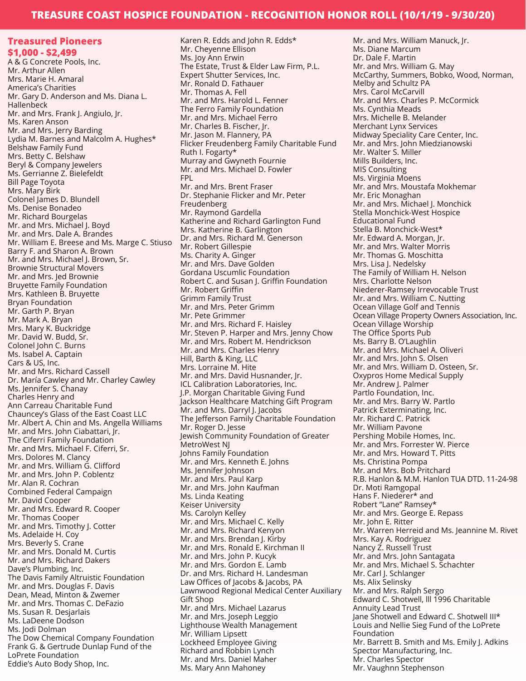## **TREASURE COAST HOSPICE FOUNDATION - RECOGNITION HONOR ROLL (10/1/19 - 9/30/20)**

**Treasured Pioneers \$1,000 - \$2,499** A & G Concrete Pools, Inc. Mr. Arthur Allen Mrs. Marie H. Amaral America's Charities Mr. Gary D. Anderson and Ms. Diana L. Hallenbeck Mr. and Mrs. Frank J. Angiulo, Jr. Ms. Karen Anson Mr. and Mrs. Jerry Barding Lydia M. Barnes and Malcolm A. Hughes\* Belshaw Family Fund Mrs. Betty C. Belshaw Beryl & Company Jewelers Ms. Gerrianne Z. Bielefeldt Bill Page Toyota Mrs. Mary Birk Colonel James D. Blundell Ms. Denise Bonadeo Mr. Richard Bourgelas Mr. and Mrs. Michael J. Boyd Mr. and Mrs. Dale A. Brandes Mr. William E. Breese and Ms. Marge C. Stiuso Barry F. and Sharon A. Brown Mr. and Mrs. Michael J. Brown, Sr. Brownie Structural Movers Mr. and Mrs. Jed Brownie Bruyette Family Foundation Mrs. Kathleen B. Bruyette Bryan Foundation Mr. Garth P. Bryan Mr. Mark A. Bryan Mrs. Mary K. Buckridge Mr. David W. Budd, Sr. Colonel John C. Burns Ms. Isabel A. Captain Cars & US, Inc. Mr. and Mrs. Richard Cassell Dr. María Cawley and Mr. Charley Cawley Ms. Jennifer S. Chanay Charles Henry and Ann Carreau Charitable Fund Chauncey's Glass of the East Coast LLC Mr. Albert A. Chin and Ms. Angella Williams Mr. and Mrs. John Ciabattari, Jr. The Ciferri Family Foundation Mr. and Mrs. Michael F. Ciferri, Sr. Mrs. Dolores M. Clancy Mr. and Mrs. William G. Clifford Mr. and Mrs. John P. Coblentz Mr. Alan R. Cochran Combined Federal Campaign Mr. David Cooper Mr. and Mrs. Edward R. Cooper Mr. Thomas Cooper Mr. and Mrs. Timothy J. Cotter Ms. Adelaide H. Coy Mrs. Beverly S. Crane Mr. and Mrs. Donald M. Curtis Mr. and Mrs. Richard Dakers Dave's Plumbing, Inc. The Davis Family Altruistic Foundation Mr. and Mrs. Douglas F. Davis Dean, Mead, Minton & Zwemer Mr. and Mrs. Thomas C. DeFazio Ms. Susan R. Desjarlais Ms. LaDeene Dodson Ms. Jodi Dolman The Dow Chemical Company Foundation Frank G. & Gertrude Dunlap Fund of the LoPrete Foundation Eddie's Auto Body Shop, Inc.

Karen R. Edds and John R. Edds\* Mr. Cheyenne Ellison Ms. Joy Ann Erwin The Estate, Trust & Elder Law Firm, P.L. Expert Shutter Services, Inc. Mr. Ronald D. Fathauer Mr. Thomas A. Fell Mr. and Mrs. Harold L. Fenner The Ferro Family Foundation Mr. and Mrs. Michael Ferro Mr. Charles B. Fischer, Jr. Mr. Jason M. Flannery, PA Flicker Freudenberg Family Charitable Fund Ruth I. Fogarty\* Murray and Gwyneth Fournie Mr. and Mrs. Michael D. Fowler FPL Mr. and Mrs. Brent Fraser Dr. Stephanie Flicker and Mr. Peter Freudenberg Mr. Raymond Gardella Katherine and Richard Garlington Fund Mrs. Katherine B. Garlington Dr. and Mrs. Richard M. Generson Mr. Robert Gillespie Ms. Charity A. Ginger Mr. and Mrs. Dave Golden Gordana Uscumlic Foundation Robert C. and Susan J. Griffin Foundation Mr. Robert Griffin Grimm Family Trust Mr. and Mrs. Peter Grimm Mr. Pete Grimmer Mr. and Mrs. Richard F. Haisley Mr. Steven P. Harper and Mrs. Jenny Chow Mr. and Mrs. Robert M. Hendrickson Mr. and Mrs. Charles Henry Hill, Barth & King, LLC Mrs. Lorraine M. Hite Mr. and Mrs. David Husnander, Jr. ICL Calibration Laboratories, Inc. J.P. Morgan Charitable Giving Fund Jackson Healthcare Matching Gift Program Mr. and Mrs. Darryl J. Jacobs The Jefferson Family Charitable Foundation Mr. Roger D. Jesse Jewish Community Foundation of Greater MetroWest NJ Johns Family Foundation Mr. and Mrs. Kenneth E. Johns Ms. Jennifer Johnson Mr. and Mrs. Paul Karp Mr. and Mrs. John Kaufman Ms. Linda Keating Keiser University Ms. Carolyn Kelley Mr. and Mrs. Michael C. Kelly Mr. and Mrs. Richard Kenyon Mr. and Mrs. Brendan J. Kirby Mr. and Mrs. Ronald E. Kirchman II Mr. and Mrs. John P. Kucyk Mr. and Mrs. Gordon E. Lamb Dr. and Mrs. Richard H. Landesman Law Offices of Jacobs & Jacobs, PA Lawnwood Regional Medical Center Auxiliary Gift Shop Mr. and Mrs. Michael Lazarus Mr. and Mrs. Joseph Leggio Lighthouse Wealth Management Mr. William Lipsett Lockheed Employee Giving Richard and Robbin Lynch Mr. and Mrs. Daniel Maher Ms. Mary Ann Mahoney

Mr. and Mrs. William Manuck, Jr. Ms. Diane Marcum Dr. Dale F. Martin Mr. and Mrs. William G. May McCarthy, Summers, Bobko, Wood, Norman, Melby and Schultz PA Mrs. Carol McCarvill Mr. and Mrs. Charles P. McCormick Ms. Cynthia Meads Mrs. Michelle B. Melander Merchant Lynx Services Midway Speciality Care Center, Inc. Mr. and Mrs. John Miedzianowski Mr. Walter S. Miller Mills Builders, Inc. MIS Consulting Ms. Virginia Moens Mr. and Mrs. Moustafa Mokhemar Mr. Eric Monaghan Mr. and Mrs. Michael J. Monchick Stella Monchick-West Hospice Educational Fund Stella B. Monchick-West\* Mr. Edward A. Morgan, Jr. Mr. and Mrs. Walter Morris Mr. Thomas G. Moschitta Mrs. Lisa J. Nedelsky The Family of William H. Nelson Mrs. Charlotte Nelson Niederer-Ramsey Irrevocable Trust Mr. and Mrs. William C. Nutting Ocean Village Golf and Tennis Ocean Village Property Owners Association, Inc. Ocean Village Worship The Office Sports Pub Ms. Barry B. O'Laughlin Mr. and Mrs. Michael A. Oliveri Mr. and Mrs. John S. Olsen Mr. and Mrs. William D. Osteen, Sr. Oxypros Home Medical Supply Mr. Andrew J. Palmer Partlo Foundation, Inc. Mr. and Mrs. Barry W. Partlo Patrick Exterminating, Inc. Mr. Richard C. Patrick Mr. William Pavone Pershing Mobile Homes, Inc. Mr. and Mrs. Forrester W. Pierce Mr. and Mrs. Howard T. Pitts Ms. Christina Pompa Mr. and Mrs. Bob Pritchard R.B. Hanlon & M.M. Hanlon TUA DTD. 11-24-98 Dr. Moti Ramgopal Hans F. Niederer\* and Robert "Lane" Ramsey\* Mr. and Mrs. George E. Repass Mr. John E. Ritter Mr. Warren Herreid and Ms. Jeannine M. Rivet Mrs. Kay A. Rodriguez Nancy Z. Russell Trust Mr. and Mrs. John Santagata Mr. and Mrs. Michael S. Schachter Mr. Carl J. Schlanger Ms. Alix Selinsky Mr. and Mrs. Ralph Sergo Edward C. Shotwell, lll 1996 Charitable Annuity Lead Trust Jane Shotwell and Edward C. Shotwell III\* Louis and Nellie Sieg Fund of the LoPrete Foundation Mr. Barrett B. Smith and Ms. Emily J. Adkins Spector Manufacturing, Inc. Mr. Charles Spector Mr. Vaughnn Stephenson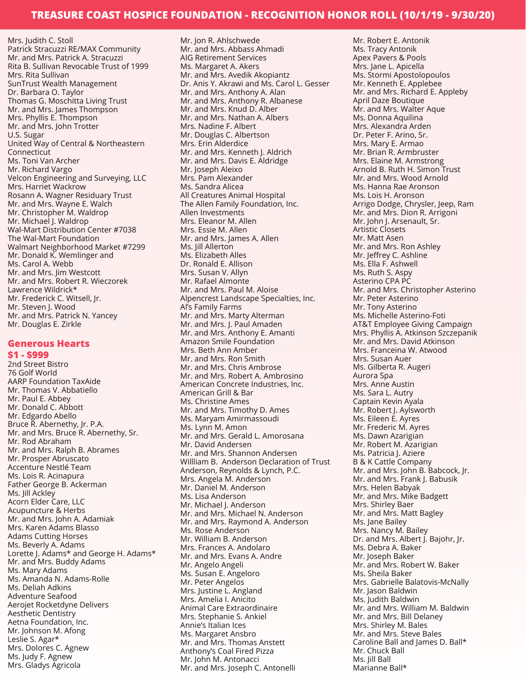Mrs. Judith C. Stoll Patrick Stracuzzi RE/MAX Community Mr. and Mrs. Patrick A. Stracuzzi Rita B. Sullivan Revocable Trust of 1999 Mrs. Rita Sullivan SunTrust Wealth Management Dr. Barbara O. Taylor Thomas G. Moschitta Living Trust Mr. and Mrs. James Thompson Mrs. Phyllis E. Thompson Mr. and Mrs. John Trotter U.S. Sugar United Way of Central & Northeastern Connecticut Ms. Toni Van Archer Mr. Richard Vargo Velcon Engineering and Surveying, LLC Mrs. Harriet Wackrow Rosann A. Wagner Residuary Trust Mr. and Mrs. Wayne E. Walch Mr. Christopher M. Waldrop Mr. Michael J. Waldrop Wal-Mart Distribution Center #7038 The Wal-Mart Foundation Walmart Neighborhood Market #7299 Mr. Donald K. Wemlinger and Ms. Carol A. Webb Mr. and Mrs. Jim Westcott Mr. and Mrs. Robert R. Wieczorek Lawrence Wildrick\* Mr. Frederick C. Witsell, Jr. Mr. Steven J. Wood Mr. and Mrs. Patrick N. Yancey Mr. Douglas E. Zirkle

#### **Generous Hearts**

#### **\$1 - \$999**

2nd Street Bistro 76 Golf World AARP Foundation TaxAide Mr. Thomas V. Abbatiello Mr. Paul E. Abbey Mr. Donald C. Abbott Mr. Edgardo Abello Bruce R. Abernethy, Jr. P.A. Mr. and Mrs. Bruce R. Abernethy, Sr. Mr. Rod Abraham Mr. and Mrs. Ralph B. Abrames Mr. Prosper Abruscato Accenture Nestlé Team Ms. Lois R. Acinapura Father George B. Ackerman Ms. Jill Ackley Acorn Elder Care, LLC Acupuncture & Herbs Mr. and Mrs. John A. Adamiak Mrs. Karen Adams Blasso Adams Cutting Horses Ms. Beverly A. Adams Lorette J. Adams\* and George H. Adams\* Mr. and Mrs. Buddy Adams Ms. Mary Adams Ms. Amanda N. Adams-Rolle Ms. Deliah Adkins Adventure Seafood Aerojet Rocketdyne Delivers Aesthetic Dentistry Aetna Foundation, Inc. Mr. Johnson M. Afong Leslie S. Agar\* Mrs. Dolores C. Agnew Ms. Judy F. Agnew Mrs. Gladys Agricola

Mr. Jon R. Ahlschwede Mr. and Mrs. Abbass Ahmadi AIG Retirement Services Ms. Margaret A. Akers Mr. and Mrs. Avedik Akopiantz Dr. Anis Y. Akrawi and Ms. Carol L. Gesser Mr. and Mrs. Anthony A. Alan Mr. and Mrs. Anthony R. Albanese Mr. and Mrs. Knud D. Alber Mr. and Mrs. Nathan A. Albers Mrs. Nadine F. Albert Mr. Douglas C. Albertson Mrs. Erin Alderdice Mr. and Mrs. Kenneth J. Aldrich Mr. and Mrs. Davis E. Aldridge Mr. Joseph Aleixo Mrs. Pam Alexander Ms. Sandra Alicea All Creatures Animal Hospital The Allen Family Foundation, Inc. Allen Investments Mrs. Eleanor M. Allen Mrs. Essie M. Allen Mr. and Mrs. James A. Allen Ms. Jill Allerton Ms. Elizabeth Alles Dr. Ronald E. Allison Mrs. Susan V. Allyn Mr. Rafael Almonte Mr. and Mrs. Paul M. Aloise Alpencrest Landscape Specialties, Inc. Al's Family Farms Mr. and Mrs. Marty Alterman Mr. and Mrs. J. Paul Amaden Mr. and Mrs. Anthony E. Amanti Amazon Smile Foundation Mrs. Beth Ann Amber Mr. and Mrs. Ron Smith Mr. and Mrs. Chris Ambrose Mr. and Mrs. Robert A. Ambrosino American Concrete Industries, Inc. American Grill & Bar Ms. Christine Ames Mr. and Mrs. Timothy D. Ames Ms. Maryam Amirmassoudi Ms. Lynn M. Amon Mr. and Mrs. Gerald L. Amorosana Mr. David Andersen Mr. and Mrs. Shannon Andersen Willliam B. Anderson Declaration of Trust Anderson, Reynolds & Lynch, P.C. Mrs. Angela M. Anderson Mr. Daniel M. Anderson Ms. Lisa Anderson Mr. Michael J. Anderson Mr. and Mrs. Michael N. Anderson Mr. and Mrs. Raymond A. Anderson Ms. Rose Anderson Mr. William B. Anderson Mrs. Frances A. Andolaro Mr. and Mrs. Evans A. Andre Mr. Angelo Angeli Ms. Susan E. Angeloro Mr. Peter Angelos Mrs. Justine L. Angland Mrs. Amelia I. Anicito Animal Care Extraordinaire Mrs. Stephanie S. Ankiel Annie's Italian Ices Ms. Margaret Ansbro Mr. and Mrs. Thomas Anstett Anthony's Coal Fired Pizza Mr. John M. Antonacci Mr. and Mrs. Joseph C. Antonelli

Mr. Robert E. Antonik Ms. Tracy Antonik Apex Pavers & Pools Mrs. Jane L. Apicella Ms. Stormi Apostolopoulos Mr. Kenneth E. Applebee Mr. and Mrs. Richard E. Appleby April Daze Boutique Mr. and Mrs. Walter Aque Ms. Donna Aquilina Mrs. Alexandra Arden Dr. Peter F. Arino, Sr. Mrs. Mary E. Armao Mr. Brian R. Armbruster Mrs. Elaine M. Armstrong Arnold B. Ruth H. Simon Trust Mr. and Mrs. Wood Arnold Ms. Hanna Rae Aronson Ms. Lois H. Aronson Arrigo Dodge, Chrysler, Jeep, Ram Mr. and Mrs. Dion R. Arrigoni Mr. John J. Arsenault, Sr. Artistic Closets Mr. Matt Asen Mr. and Mrs. Ron Ashley Mr. Jeffrey C. Ashline Ms. Ella F. Ashwell Ms. Ruth S. Aspy Asterino CPA PC Mr. and Mrs. Christopher Asterino Mr. Peter Asterino Mr. Tony Asterino Ms. Michelle Asterino-Foti AT&T Employee Giving Campaign Mrs. Phyllis A. Atkinson Szczepanik Mr. and Mrs. David Atkinson Mrs. Franceina W. Atwood Mrs. Susan Auer Ms. Gilberta R. Augeri Aurora Spa Mrs. Anne Austin Ms. Sara L. Autry Captain Kevin Ayala Mr. Robert J. Aylsworth Ms. Eileen E. Ayres Mr. Frederic M. Ayres Ms. Dawn Azarigian Mr. Robert M. Azarigian Ms. Patricia J. Aziere B & K Cattle Company Mr. and Mrs. John B. Babcock, Jr. Mr. and Mrs. Frank J. Babusik Mrs. Helen Babyak Mr. and Mrs. Mike Badgett Mrs. Shirley Baer Mr. and Mrs. Matt Bagley Ms. Jane Bailey Mrs. Nancy M. Bailey Dr. and Mrs. Albert J. Bajohr, Jr. Ms. Debra A. Baker Mr. Joseph Baker Mr. and Mrs. Robert W. Baker Ms. Sheila Baker Mrs. Gabrielle Balatovis-McNally Mr. Jason Baldwin Ms. Judith Baldwin Mr. and Mrs. William M. Baldwin Mr. and Mrs. Bill Delaney Mrs. Shirley M. Bales Mr. and Mrs. Steve Bales Caroline Ball and James D. Ball\* Mr. Chuck Ball Ms. Jill Ball Marianne Ball\*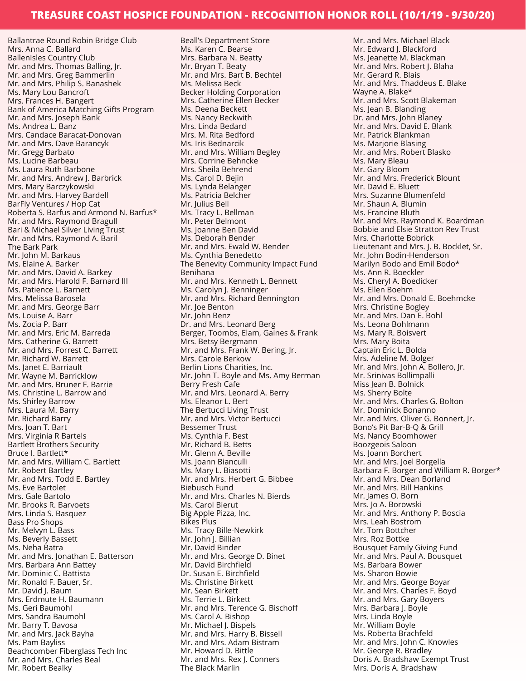Ballantrae Round Robin Bridge Club Mrs. Anna C. Ballard BallenIsles Country Club Mr. and Mrs. Thomas Balling, Jr. Mr. and Mrs. Greg Bammerlin Mr. and Mrs. Philip S. Banashek Ms. Mary Lou Bancroft Mrs. Frances H. Bangert Bank of America Matching Gifts Program Mr. and Mrs. Joseph Bank Ms. Andrea L. Banz Mrs. Candace Baracat-Donovan Mr. and Mrs. Dave Barancyk Mr. Gregg Barbato Ms. Lucine Barbeau Ms. Laura Ruth Barbone Mr. and Mrs. Andrew J. Barbrick Mrs. Mary Barczykowski Mr. and Mrs. Harvey Bardell BarFly Ventures / Hop Cat Roberta S. Barfus and Armond N. Barfus\* Mr. and Mrs. Raymond Bragull Bari & Michael Silver Living Trust Mr. and Mrs. Raymond A. Baril The Bark Park Mr. John M. Barkaus Ms. Elaine A. Barker Mr. and Mrs. David A. Barkey Mr. and Mrs. Harold F. Barnard III Ms. Patience L. Barnett Mrs. Melissa Barosela Mr. and Mrs. George Barr Ms. Louise A. Barr Ms. Zocia P. Barr Mr. and Mrs. Eric M. Barreda Mrs. Catherine G. Barrett Mr. and Mrs. Forrest C. Barrett Mr. Richard W. Barrett Ms. Janet E. Barriault Mr. Wayne M. Barricklow Mr. and Mrs. Bruner F. Barrie Ms. Christine L. Barrow and Ms. Shirley Barrow Mrs. Laura M. Barry Mr. Richard Barry Mrs. Joan T. Bart Mrs. Virginia R Bartels Bartlett Brothers Security Bruce I. Bartlett\* Mr. and Mrs. William C. Bartlett Mr. Robert Bartley Mr. and Mrs. Todd E. Bartley Ms. Eve Bartolet Mrs. Gale Bartolo Mr. Brooks R. Barvoets Mrs. Linda S. Basquez Bass Pro Shops Mr. Melvyn L. Bass Ms. Beverly Bassett Ms. Neha Batra Mr. and Mrs. Jonathan E. Batterson Mrs. Barbara Ann Battey Mr. Dominic C. Battista Mr. Ronald F. Bauer, Sr. Mr. David J. Baum Mrs. Erdmute H. Baumann Ms. Geri Baumohl Mrs. Sandra Baumohl Mr. Barry T. Bavosa Mr. and Mrs. Jack Bayha Ms. Pam Bayliss Beachcomber Fiberglass Tech Inc Mr. and Mrs. Charles Beal Mr. Robert Bealky

Beall's Department Store Ms. Karen C. Bearse Mrs. Barbara N. Beatty Mr. Bryan T. Beaty Mr. and Mrs. Bart B. Bechtel Ms. Melissa Beck Becker Holding Corporation Mrs. Catherine Ellen Becker Ms. Deena Beckett Ms. Nancy Beckwith Mrs. Linda Bedard Mrs. M. Rita Bedford Ms. Iris Bednarcik Mr. and Mrs. William Begley Mrs. Corrine Behncke Mrs. Sheila Behrend Ms. Carol D. Bejin Ms. Lynda Belanger Ms. Patricia Belcher Mr. Julius Bell Ms. Tracy L. Bellman Mr. Peter Belmont Ms. Joanne Ben David Ms. Deborah Bender Mr. and Mrs. Ewald W. Bender Ms. Cynthia Benedetto The Benevity Community Impact Fund Benihana Mr. and Mrs. Kenneth L. Bennett Ms. Carolyn J. Benninger Mr. and Mrs. Richard Bennington Mr. Joe Benton Mr. John Benz Dr. and Mrs. Leonard Berg Berger, Toombs, Elam, Gaines & Frank Mrs. Betsy Bergmann Mr. and Mrs. Frank W. Bering, Jr. Mrs. Carole Berkow Berlin Lions Charities, Inc. Mr. John T. Boyle and Ms. Amy Berman Berry Fresh Cafe Mr. and Mrs. Leonard A. Berry Ms. Eleanor L. Bert The Bertucci Living Trust Mr. and Mrs. Victor Bertucci Bessemer Trust Ms. Cynthia F. Best Mr. Richard B. Betts Mr. Glenn A. Beville Ms. Joann Bianculli Ms. Mary L. Biasotti Mr. and Mrs. Herbert G. Bibbee Biebusch Fund Mr. and Mrs. Charles N. Bierds Ms. Carol Bierut Big Apple Pizza, Inc. Bikes Plus Ms. Tracy Bille-Newkirk Mr. John J. Billian Mr. David Binder Mr. and Mrs. George D. Binet Mr. David Birchfield Dr. Susan E. Birchfield Ms. Christine Birkett Mr. Sean Birkett Ms. Terrie L. Birkett Mr. and Mrs. Terence G. Bischoff Ms. Carol A. Bishop Mr. Michael J. Bispels Mr. and Mrs. Harry B. Bissell Mr. and Mrs. Adam Bistram Mr. Howard D. Bittle Mr. and Mrs. Rex J. Conners The Black Marlin

Mr. and Mrs. Michael Black Mr. Edward J. Blackford Ms. Jeanette M. Blackman Mr. and Mrs. Robert J. Blaha Mr. Gerard R. Blais Mr. and Mrs. Thaddeus E. Blake Wayne A. Blake\* Mr. and Mrs. Scott Blakeman Ms. Jean B. Blanding Dr. and Mrs. John Blaney Mr. and Mrs. David E. Blank Mr. Patrick Blankman Ms. Marjorie Blasing Mr. and Mrs. Robert Blasko Ms. Mary Bleau Mr. Gary Bloom Mr. and Mrs. Frederick Blount Mr. David E. Bluett Mrs. Suzanne Blumenfeld Mr. Shaun A. Blumin Ms. Francine Bluth Mr. and Mrs. Raymond K. Boardman Bobbie and Elsie Stratton Rev Trust Mrs. Charlotte Bobrick Lieutenant and Mrs. J. B. Bocklet, Sr. Mr. John Bodin-Henderson Marilyn Bodo and Emil Bodo\* Ms. Ann R. Boeckler Ms. Cheryl A. Boedicker Ms. Ellen Boehm Mr. and Mrs. Donald E. Boehmcke Mrs. Christine Bogley Mr. and Mrs. Dan E. Bohl Ms. Leona Bohlmann Ms. Mary R. Boisvert Mrs. Mary Boita Captain Eric L. Bolda Mrs. Adeline M. Bolger Mr. and Mrs. John A. Bollero, Jr. Mr. Srinivas Bollimpalli Miss Jean B. Bolnick Ms. Sherry Bolte Mr. and Mrs. Charles G. Bolton Mr. Dominick Bonanno Mr. and Mrs. Oliver G. Bonnert, Jr. Bono's Pit Bar-B-Q & Grill Ms. Nancy Boomhower Boozgeois Saloon Ms. Joann Borchert Mr. and Mrs. Joel Borgella Barbara F. Borger and William R. Borger\* Mr. and Mrs. Dean Borland Mr. and Mrs. Bill Hankins Mr. James O. Born Mrs. Jo A. Borowski Mr. and Mrs. Anthony P. Boscia Mrs. Leah Bostrom Mr. Tom Bottcher Mrs. Roz Bottke Bousquet Family Giving Fund Mr. and Mrs. Paul A. Bousquet Ms. Barbara Bower Ms. Sharon Bowie Mr. and Mrs. George Boyar Mr. and Mrs. Charles F. Boyd Mr. and Mrs. Gary Boyers Mrs. Barbara J. Boyle Mrs. Linda Boyle Mr. William Boyle Ms. Roberta Brachfeld Mr. and Mrs. John C. Knowles Mr. George R. Bradley Doris A. Bradshaw Exempt Trust Mrs. Doris A. Bradshaw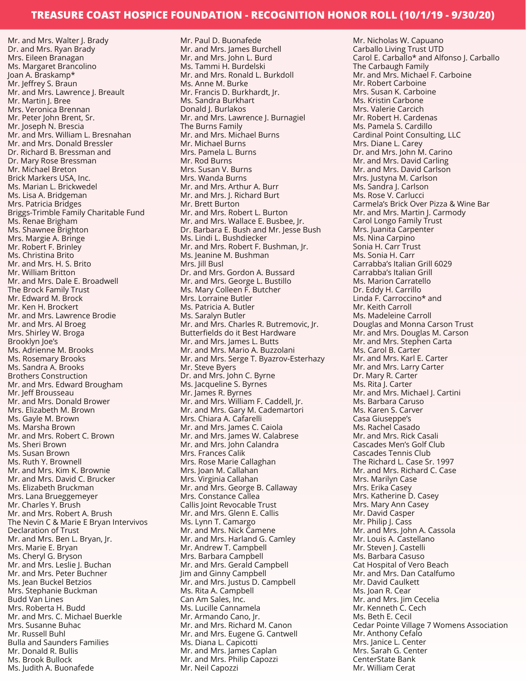Mr. and Mrs. Walter J. Brady Dr. and Mrs. Ryan Brady Mrs. Eileen Branagan Ms. Margaret Brancolino Joan A. Braskamp\* Mr. Jeffrey S. Braun Mr. and Mrs. Lawrence J. Breault Mr. Martin J. Bree Mrs. Veronica Brennan Mr. Peter John Brent, Sr. Mr. Joseph N. Brescia Mr. and Mrs. William L. Bresnahan Mr. and Mrs. Donald Bressler Dr. Richard B. Bressman and Dr. Mary Rose Bressman Mr. Michael Breton Brick Markers USA, Inc. Ms. Marian L. Brickwedel Ms. Lisa A. Bridgeman Mrs. Patricia Bridges Briggs-Trimble Family Charitable Fund Ms. Renae Brigham Ms. Shawnee Brighton Mrs. Margie A. Bringe Mr. Robert F. Brinley Ms. Christina Brito Mr. and Mrs. H. S. Brito Mr. William Britton Mr. and Mrs. Dale E. Broadwell The Brock Family Trust Mr. Edward M. Brock Mr. Ken H. Brockert Mr. and Mrs. Lawrence Brodie Mr. and Mrs. Al Broeg Mrs. Shirley W. Broga Brooklyn Joe's Ms. Adrienne M. Brooks Ms. Rosemary Brooks Ms. Sandra A. Brooks Brothers Construction Mr. and Mrs. Edward Brougham Mr. Jeff Brousseau Mr. and Mrs. Donald Brower Mrs. Elizabeth M. Brown Ms. Gayle M. Brown Ms. Marsha Brown Mr. and Mrs. Robert C. Brown Ms. Sheri Brown Ms. Susan Brown Ms. Ruth Y. Brownell Mr. and Mrs. Kim K. Brownie Mr. and Mrs. David C. Brucker Ms. Elizabeth Bruckman Mrs. Lana Brueggemeyer Mr. Charles Y. Brush Mr. and Mrs. Robert A. Brush The Nevin C & Marie E Bryan Intervivos Declaration of Trust Mr. and Mrs. Ben L. Bryan, Jr. Mrs. Marie E. Bryan Ms. Cheryl G. Bryson Mr. and Mrs. Leslie J. Buchan Mr. and Mrs. Peter Buchner Ms. Jean Buckel Betzios Mrs. Stephanie Buckman Budd Van Lines Mrs. Roberta H. Budd Mr. and Mrs. C. Michael Buerkle Mrs. Susanne Buhac Mr. Russell Buhl Bulla and Saunders Families Mr. Donald R. Bullis Ms. Brook Bullock Ms. Judith A. Buonafede

Mr. Paul D. Buonafede Mr. and Mrs. James Burchell Mr. and Mrs. John L. Burd Ms. Tammi H. Burdelski Mr. and Mrs. Ronald L. Burkdoll Ms. Anne M. Burke Mr. Francis D. Burkhardt, Jr. Ms. Sandra Burkhart Donald J. Burlakos Mr. and Mrs. Lawrence J. Burnagiel The Burns Family Mr. and Mrs. Michael Burns Mr. Michael Burns Mrs. Pamela L. Burns Mr. Rod Burns Mrs. Susan V. Burns Mrs. Wanda Burns Mr. and Mrs. Arthur A. Burr Mr. and Mrs. J. Richard Burt Mr. Brett Burton Mr. and Mrs. Robert L. Burton Mr. and Mrs. Wallace E. Busbee, Jr. Dr. Barbara E. Bush and Mr. Jesse Bush Ms. Lindi L. Bushdiecker Mr. and Mrs. Robert F. Bushman, Jr. Ms. Jeanine M. Bushman Mrs. Jill Busl Dr. and Mrs. Gordon A. Bussard Mr. and Mrs. George L. Bustillo Ms. Mary Colleen F. Butcher Mrs. Lorraine Butler Ms. Patricia A. Butler Ms. Saralyn Butler Mr. and Mrs. Charles R. Butremovic, Jr. Butterfields do it Best Hardware Mr. and Mrs. James L. Butts Mr. and Mrs. Mario A. Buzzolani Mr. and Mrs. Serge T. Byazrov-Esterhazy Mr. Steve Byers Dr. and Mrs. John C. Byrne Ms. Jacqueline S. Byrnes Mr. James R. Byrnes Mr. and Mrs. William F. Caddell, Jr. Mr. and Mrs. Gary M. Cademartori Mrs. Chiara A. Cafarelli Mr. and Mrs. James C. Caiola Mr. and Mrs. James W. Calabrese Mr. and Mrs. John Calandra Mrs. Frances Calik Mrs. Rose Marie Callaghan Mrs. Joan M. Callahan Mrs. Virginia Callahan Mr. and Mrs. George B. Callaway Mrs. Constance Callea Callis Joint Revocable Trust Mr. and Mrs. Glenn E. Callis Ms. Lynn T. Camargo Mr. and Mrs. Nick Camene Mr. and Mrs. Harland G. Camley Mr. Andrew T. Campbell Mrs. Barbara Campbell Mr. and Mrs. Gerald Campbell Jim and Ginny Campbell Mr. and Mrs. Justus D. Campbell Ms. Rita A. Campbell Can Am Sales, Inc. Ms. Lucille Cannamela Mr. Armando Cano, Jr. Mr. and Mrs. Richard M. Canon Mr. and Mrs. Eugene G. Cantwell Ms. Diana L. Capicotti Mr. and Mrs. James Caplan Mr. and Mrs. Philip Capozzi Mr. Neil Capozzi

Mr. Nicholas W. Capuano Carballo Living Trust UTD Carol E. Carballo\* and Alfonso J. Carballo The Carbaugh Family Mr. and Mrs. Michael F. Carboine Mr. Robert Carboine Mrs. Susan K. Carboine Ms. Kristin Carbone Mrs. Valerie Carcich Mr. Robert H. Cardenas Ms. Pamela S. Cardillo Cardinal Point Consulting, LLC Mrs. Diane L. Carey Dr. and Mrs. John M. Carino Mr. and Mrs. David Carling Mr. and Mrs. David Carlson Mrs. Justyna M. Carlson Ms. Sandra J. Carlson Ms. Rose V. Carlucci Carmela's Brick Over Pizza & Wine Bar Mr. and Mrs. Martin J. Carmody Carol Longo Family Trust Mrs. Juanita Carpenter Ms. Nina Carpino Sonia H. Carr Trust Ms. Sonia H. Carr Carrabba's Italian Grill 6029 Carrabba's Italian Grill Ms. Marion Carratello Dr. Eddy H. Carrillo Linda F. Carroccino\* and Mr. Keith Carroll Ms. Madeleine Carroll Douglas and Monna Carson Trust Mr. and Mrs. Douglas M. Carson Mr. and Mrs. Stephen Carta Ms. Carol B. Carter Mr. and Mrs. Karl E. Carter Mr. and Mrs. Larry Carter Dr. Mary R. Carter Ms. Rita J. Carter Mr. and Mrs. Michael J. Cartini Ms. Barbara Caruso Ms. Karen S. Carver Casa Giuseppe's Ms. Rachel Casado Mr. and Mrs. Rick Casali Cascades Men's Golf Club Cascades Tennis Club The Richard L. Case Sr. 1997 Mr. and Mrs. Richard C. Case Mrs. Marilyn Case Mrs. Erika Casey Mrs. Katherine D. Casey Mrs. Mary Ann Casey Mr. David Casper Mr. Philip J. Cass Mr. and Mrs. John A. Cassola Mr. Louis A. Castellano Mr. Steven J. Castelli Ms. Barbara Casuso Cat Hospital of Vero Beach Mr. and Mrs. Dan Catalfumo Mr. David Caulkett Ms. Joan R. Cear Mr. and Mrs. Jim Cecelia Mr. Kenneth C. Cech Ms. Beth E. Cecil Cedar Pointe Village 7 Womens Association Mr. Anthony Cefalo Mrs. Janice L. Center Mrs. Sarah G. Center CenterState Bank Mr. William Cerat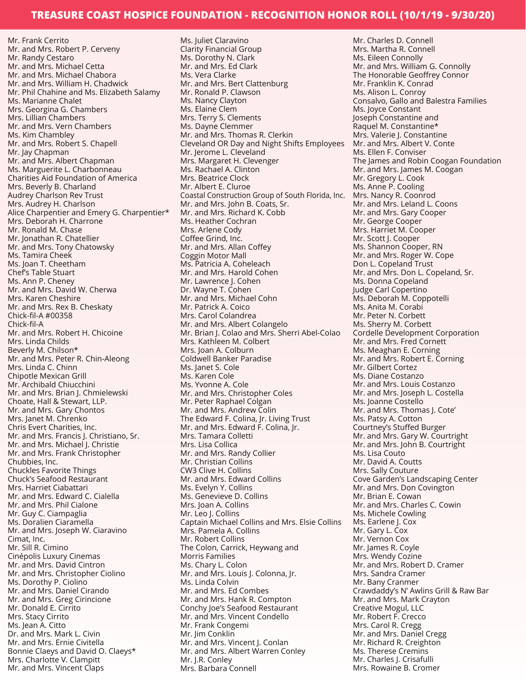Mr. Frank Cerrito Mr. and Mrs. Robert P. Cerveny Mr. Randy Cestaro Mr. and Mrs. Michael Cetta Mr. and Mrs. Michael Chabora Mr. and Mrs. William H. Chadwick Mr. Phil Chahine and Ms. Elizabeth Salamy Ms. Marianne Chalet Mrs. Georgina G. Chambers Mrs. Lillian Chambers Mr. and Mrs. Vern Chambers Ms. Kim Chambley Mr. and Mrs. Robert S. Chapell Mr. Jay Chapman Mr. and Mrs. Albert Chapman Ms. Marguerite L. Charbonneau Charities Aid Foundation of America Mrs. Beverly B. Charland Audrey Charlson Rev Trust Mrs. Audrey H. Charlson Alice Charpentier and Emery G. Charpentier\* Mrs. Deborah H. Charrone Mr. Ronald M. Chase Mr. Jonathan R. Chatellier Mr. and Mrs. Tony Chatowsky Ms. Tamira Cheek Ms. Joan T. Cheetham Chef's Table Stuart Ms. Ann P. Cheney Mr. and Mrs. David W. Cherwa Mrs. Karen Cheshire Mr. and Mrs. Rex B. Cheskaty Chick-fil-A #00358 Chick-fil-A Mr. and Mrs. Robert H. Chicoine Mrs. Linda Childs Beverly M. Chilson\* Mr. and Mrs. Peter R. Chin-Aleong Mrs. Linda C. Chinn Chipotle Mexican Grill Mr. Archibald Chiucchini Mr. and Mrs. Brian J. Chmielewski Choate, Hall & Stewart, LLP. Mr. and Mrs. Gary Chontos Mrs. Janet M. Chrenko Chris Evert Charities, Inc. Mr. and Mrs. Francis J. Christiano, Sr. Mr. and Mrs. Michael J. Christie Mr. and Mrs. Frank Christopher Chubbies, Inc. Chuckles Favorite Things Chuck's Seafood Restaurant Mrs. Harriet Ciabattari Mr. and Mrs. Edward C. Cialella Mr. and Mrs. Phil Cialone Mr. Guy C. Ciampaglia Ms. Doralien Ciaramella Mr. and Mrs. Joseph W. Ciaravino Cimat, Inc. Mr. Sill R. Cimino Cinépolis Luxury Cinemas Mr. and Mrs. David Cintron Mr. and Mrs. Christopher Ciolino Ms. Dorothy P. Ciolino Mr. and Mrs. Daniel Cirando Mr. and Mrs. Greg Cirincione Mr. Donald E. Cirrito Mrs. Stacy Cirrito Ms. Jean A. Citto Dr. and Mrs. Mark L. Civin Mr. and Mrs. Ernie Civitella Bonnie Claeys and David O. Claeys\* Mrs. Charlotte V. Clampitt Mr. and Mrs. Vincent Claps

Ms. Juliet Claravino Clarity Financial Group Ms. Dorothy N. Clark Mr. and Mrs. Ed Clark Ms. Vera Clarke Mr. and Mrs. Bert Clattenburg Mr. Ronald P. Clawson Ms. Nancy Clayton Ms. Elaine Clem Mrs. Terry S. Clements Ms. Dayne Clemmer Mr. and Mrs. Thomas R. Clerkin Cleveland OR Day and Night Shifts Employees Mr. Jerome L. Cleveland Mrs. Margaret H. Clevenger Ms. Rachael A. Clinton Mrs. Beatrice Clock Mr. Albert E. Cluroe Coastal Construction Group of South Florida, Inc. Mr. and Mrs. John B. Coats, Sr. Mr. and Mrs. Richard K. Cobb Ms. Heather Cochran Mrs. Arlene Cody Coffee Grind, Inc. Mr. and Mrs. Allan Coffey Coggin Motor Mall Ms. Patricia A. Coheleach Mr. and Mrs. Harold Cohen Mr. Lawrence J. Cohen Dr. Wayne T. Cohen Mr. and Mrs. Michael Cohn Mr. Patrick A. Coico Mrs. Carol Colandrea Mr. and Mrs. Albert Colangelo Mr. Brian J. Colao and Mrs. Sherri Abel-Colao Mrs. Kathleen M. Colbert Mrs. Joan A. Colburn Coldwell Banker Paradise Ms. Janet S. Cole Ms. Karen Cole Ms. Yvonne A. Cole Mr. and Mrs. Christopher Coles Mr. Peter Raphael Colgan Mr. and Mrs. Andrew Colin The Edward F. Colina, Jr. Living Trust Mr. and Mrs. Edward F. Colina, Jr. Mrs. Tamara Colletti Mrs. Lisa Collica Mr. and Mrs. Randy Collier Mr. Christian Collins CW3 Clive H. Collins Mr. and Mrs. Edward Collins Ms. Evelyn Y. Collins Ms. Genevieve D. Collins Mrs. Joan A. Collins Mr. Leo J. Collins Captain Michael Collins and Mrs. Elsie Collins Mrs. Pamela A. Collins Mr. Robert Collins The Colon, Carrick, Heywang and Morris Families Ms. Chary L. Colon Mr. and Mrs. Louis J. Colonna, Jr. Ms. Linda Colvin Mr. and Mrs. Ed Combes Mr. and Mrs. Hank R. Compton Conchy Joe's Seafood Restaurant Mr. and Mrs. Vincent Condello Mr. Frank Congemi Mr. Jim Conklin Mr. and Mrs. Vincent J. Conlan Mr. and Mrs. Albert Warren Conley Mr. J.R. Conley Mrs. Barbara Connell

Mr. Charles D. Connell Mrs. Martha R. Connell Ms. Eileen Connolly Mr. and Mrs. William G. Connolly The Honorable Geoffrey Connor Mr. Franklin K. Conrad Ms. Alison L. Conroy Consalvo, Gallo and Balestra Families Ms. Joyce Constant Joseph Constantine and Raquel M. Constantine\* Mrs. Valerie J. Constantine Mr. and Mrs. Albert V. Conte Ms. Ellen F. Conviser The James and Robin Coogan Foundation Mr. and Mrs. James M. Coogan Mr. Gregory L. Cook Ms. Anne P. Cooling Mrs. Nancy R. Coonrod Mr. and Mrs. Leland L. Coons Mr. and Mrs. Gary Cooper Mr. George Cooper Mrs. Harriet M. Cooper Mr. Scott J. Cooper Ms. Shannon Cooper, RN Mr. and Mrs. Roger W. Cope Don L. Copeland Trust Mr. and Mrs. Don L. Copeland, Sr. Ms. Donna Copeland Judge Carl Copertino Ms. Deborah M. Coppotelli Ms. Anita M. Corabi Mr. Peter N. Corbett Ms. Sherry M. Corbett Cordelle Development Corporation Mr. and Mrs. Fred Cornett Ms. Meaghan E. Corning Mr. and Mrs. Robert E. Corning Mr. Gilbert Cortez Ms. Diane Costanzo Mr. and Mrs. Louis Costanzo Mr. and Mrs. Joseph L. Costella Ms. Joanne Costello Mr. and Mrs. Thomas J. Cote' Ms. Patsy A. Cotton Courtney's Stuffed Burger Mr. and Mrs. Gary W. Courtright Mr. and Mrs. John B. Courtright Ms. Lisa Couto Mr. David A. Coutts Mrs. Sally Couture Cove Garden's Landscaping Center Mr. and Mrs. Don Covington Mr. Brian E. Cowan Mr. and Mrs. Charles C. Cowin Ms. Michele Cowling Ms. Earlene J. Cox Mr. Gary L. Cox Mr. Vernon Cox Mr. James R. Coyle Mrs. Wendy Cozine Mr. and Mrs. Robert D. Cramer Mrs. Sandra Cramer Mr. Bany Cranmer Crawdaddy's N' Awlins Grill & Raw Bar Mr. and Mrs. Mark Crayton Creative Mogul, LLC Mr. Robert F. Crecco Mrs. Carol R. Cregg Mr. and Mrs. Daniel Cregg Mr. Richard R. Creighton Ms. Therese Cremins Mr. Charles J. Crisafulli Mrs. Rowaine B. Cromer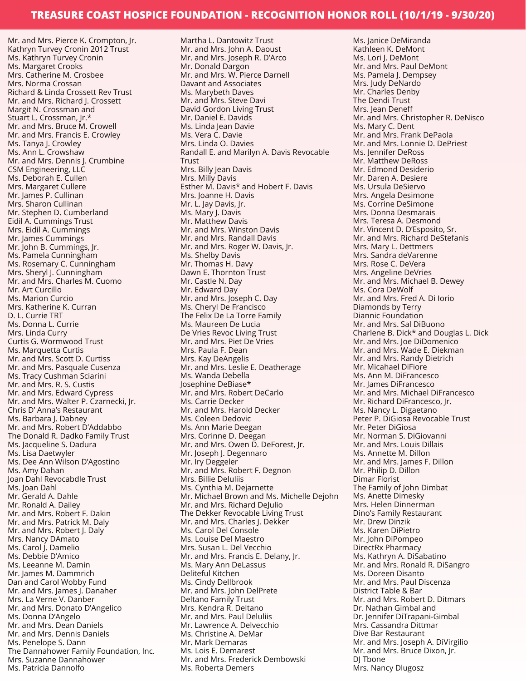Mr. and Mrs. Pierce K. Crompton, Jr. Kathryn Turvey Cronin 2012 Trust Ms. Kathryn Turvey Cronin Ms. Margaret Crooks Mrs. Catherine M. Crosbee Mrs. Norma Crossan Richard & Linda Crossett Rev Trust Mr. and Mrs. Richard J. Crossett Margit N. Crossman and Stuart L. Crossman, Jr.\* Mr. and Mrs. Bruce M. Crowell Mr. and Mrs. Francis E. Crowley Ms. Tanya J. Crowley Ms. Ann L. Crowshaw Mr. and Mrs. Dennis J. Crumbine CSM Engineering, LLC Ms. Deborah E. Cullen Mrs. Margaret Cullere Mr. James P. Cullinan Mrs. Sharon Cullinan Mr. Stephen D. Cumberland Eidil A. Cummings Trust Mrs. Eidil A. Cummings Mr. James Cummings Mr. John B. Cummings, Jr. Ms. Pamela Cunningham Ms. Rosemary C. Cunningham Mrs. Sheryl J. Cunningham Mr. and Mrs. Charles M. Cuomo Mr. Art Curcillo Ms. Marion Curcio Mrs. Katherine K. Curran D. L. Currie TRT Ms. Donna L. Currie Mrs. Linda Curry Curtis G. Wormwood Trust Ms. Marquetta Curtis Mr. and Mrs. Scott D. Curtiss Mr. and Mrs. Pasquale Cusenza Ms. Tracy Cushman Sciarini Mr. and Mrs. R. S. Custis Mr. and Mrs. Edward Cypress Mr. and Mrs. Walter P. Czarnecki, Jr. Chris D' Anna's Restaurant Ms. Barbara J. Dabney Mr. and Mrs. Robert D'Addabbo The Donald R. Dadko Family Trust Ms. Jacqueline S. Dadura Ms. Lisa Daetwyler Ms. Dee Ann Wilson D'Agostino Ms. Amy Dahan Joan Dahl Revocabdle Trust Ms. Joan Dahl Mr. Gerald A. Dahle Mr. Ronald A. Dailey Mr. and Mrs. Robert F. Dakin Mr. and Mrs. Patrick M. Daly Mr. and Mrs. Robert J. Daly Mrs. Nancy DAmato Ms. Carol J. Damelio Ms. Debbie D'Amico Ms. Leeanne M. Damin Mr. James M. Dammrich Dan and Carol Wobby Fund Mr. and Mrs. James J. Danaher Mrs. La Verne V. Danber Mr. and Mrs. Donato D'Angelico Ms. Donna D'Angelo Mr. and Mrs. Dean Daniels Mr. and Mrs. Dennis Daniels Ms. Penelope S. Dann The Dannahower Family Foundation, Inc. Mrs. Suzanne Dannahower Ms. Patricia Dannolfo

Martha L. Dantowitz Trust Mr. and Mrs. John A. Daoust Mr. and Mrs. Joseph R. D'Arco Mr. Donald Dargon Mr. and Mrs. W. Pierce Darnell Davant and Associates Ms. Marybeth Daves Mr. and Mrs. Steve Davi David Gordon Living Trust Mr. Daniel E. Davids Ms. Linda Jean Davie Ms. Vera C. Davie Mrs. Linda O. Davies Randall E. and Marilyn A. Davis Revocable Trust Mrs. Billy Jean Davis Mrs. Milly Davis Esther M. Davis\* and Hobert F. Davis Mrs. Joanne H. Davis Mr. L. Jay Davis, Jr. Ms. Mary J. Davis Mr. Matthew Davis Mr. and Mrs. Winston Davis Mr. and Mrs. Randall Davis Mr. and Mrs. Roger W. Davis, Jr. Ms. Shelby Davis Mr. Thomas H. Davy Dawn E. Thornton Trust Mr. Castle N. Day Mr. Edward Day Mr. and Mrs. Joseph C. Day Ms. Cheryl De Francisco The Felix De La Torre Family Ms. Maureen De Lucia De Vries Revoc Living Trust Mr. and Mrs. Piet De Vries Mrs. Paula F. Dean Mrs. Kay DeAngelis Mr. and Mrs. Leslie E. Deatherage Ms. Wanda Debella Josephine DeBiase\* Mr. and Mrs. Robert DeCarlo Ms. Carrie Decker Mr. and Mrs. Harold Decker Ms. Coleen Dedovic Ms. Ann Marie Deegan Mrs. Corinne D. Deegan Mr. and Mrs. Owen D. DeForest, Jr. Mr. Joseph J. Degennaro Mr. Iry Deggeler Mr. and Mrs. Robert F. Degnon Mrs. Billie DeIuliis Ms. Cynthia M. Dejarnette Mr. Michael Brown and Ms. Michelle Dejohn Mr. and Mrs. Richard DeJulio The Dekker Revocable Living Trust Mr. and Mrs. Charles J. Dekker Ms. Carol Del Console Ms. Louise Del Maestro Mrs. Susan L. Del Vecchio Mr. and Mrs. Francis E. Delany, Jr. Ms. Mary Ann DeLassus Deliteful Kitchen Ms. Cindy Dellbrook Mr. and Mrs. John DelPrete Deltano Family Trust Mrs. Kendra R. Deltano Mr. and Mrs. Paul Deluliis Mr. Lawrence A. Delvecchio Ms. Christine A. DeMar Mr. Mark Demaras Ms. Lois E. Demarest Mr. and Mrs. Frederick Dembowski Ms. Roberta Demers

Ms. Janice DeMiranda Kathleen K. DeMont Ms. Lori J. DeMont Mr. and Mrs. Paul DeMont Ms. Pamela J. Dempsey Mrs. Judy DeNardo Mr. Charles Denby The Dendi Trust Mrs. Jean Deneff Mr. and Mrs. Christopher R. DeNisco Ms. Mary C. Dent Mr. and Mrs. Frank DePaola Mr. and Mrs. Lonnie D. DePriest Ms. Jennifer DeRoss Mr. Matthew DeRoss Mr. Edmond Desiderio Mr. Daren A. Desiere Ms. Ursula DeSiervo Mrs. Angela Desimone Ms. Corrine DeSimone Mrs. Donna Desmarais Mrs. Teresa A. Desmond Mr. Vincent D. D'Esposito, Sr. Mr. and Mrs. Richard DeStefanis Mrs. Mary L. Dettmers Mrs. Sandra deVarenne Mrs. Rose C. DeVera Mrs. Angeline DeVries Mr. and Mrs. Michael B. Dewey Ms. Cora DeWolf Mr. and Mrs. Fred A. Di Iorio Diamonds by Terry Diannic Foundation Mr. and Mrs. Sal DiBuono Charlene B. Dick\* and Douglas L. Dick Mr. and Mrs. Joe DiDomenico Mr. and Mrs. Wade E. Diekman Mr. and Mrs. Randy Dietrich Mr. Micahael DiFiore Ms. Ann M. DiFrancesco Mr. James DiFrancesco Mr. and Mrs. Michael DiFrancesco Mr. Richard DiFrancesco, Jr. Ms. Nancy L. Digaetano Peter P. DiGiosa Revocable Trust Mr. Peter DiGiosa Mr. Norman S. DiGiovanni Mr. and Mrs. Louis Dillais Ms. Annette M. Dillon Mr. and Mrs. James F. Dillon Mr. Philip D. Dillon Dimar Florist The Family of John Dimbat Ms. Anette Dimesky Mrs. Helen Dinnerman Dino's Family Restaurant Mr. Drew Dinzik Ms. Karen DiPietro Mr. John DiPompeo DirectRx Pharmacy Ms. Kathryn A. DiSabatino Mr. and Mrs. Ronald R. DiSangro Ms. Doreen Disanto Mr. and Mrs. Paul Discenza District Table & Bar Mr. and Mrs. Robert D. Ditmars Dr. Nathan Gimbal and Dr. Jennifer DiTrapani-Gimbal Mrs. Cassandra Dittmar Dive Bar Restaurant Mr. and Mrs. Joseph A. DiVirgilio Mr. and Mrs. Bruce Dixon, Jr. DJ Tbone Mrs. Nancy Dlugosz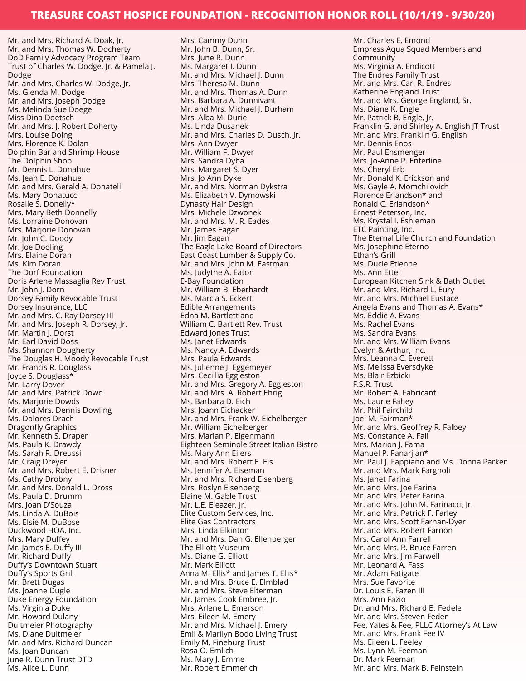Mr. and Mrs. Richard A. Doak, Jr. Mr. and Mrs. Thomas W. Docherty DoD Family Advocacy Program Team Trust of Charles W. Dodge, Jr. & Pamela J. Dodge Mr. and Mrs. Charles W. Dodge, Jr. Ms. Glenda M. Dodge Mr. and Mrs. Joseph Dodge Ms. Melinda Sue Doege Miss Dina Doetsch Mr. and Mrs. J. Robert Doherty Mrs. Louise Doing Mrs. Florence K. Dolan Dolphin Bar and Shrimp House The Dolphin Shop Mr. Dennis L. Donahue Ms. Jean E. Donahue Mr. and Mrs. Gerald A. Donatelli Ms. Mary Donatucci Rosalie S. Donelly\* Mrs. Mary Beth Donnelly Ms. Lorraine Donovan Mrs. Marjorie Donovan Mr. John C. Doody Mr. Joe Dooling Mrs. Elaine Doran Ms. Kim Doran The Dorf Foundation Doris Arlene Massaglia Rev Trust Mr. John J. Dorn Dorsey Family Revocable Trust Dorsey Insurance, LLC Mr. and Mrs. C. Ray Dorsey III Mr. and Mrs. Joseph R. Dorsey, Jr. Mr. Martin J. Dorst Mr. Earl David Doss Ms. Shannon Dougherty The Douglas H. Moody Revocable Trust Mr. Francis R. Douglass Joyce S. Douglass\* Mr. Larry Dover Mr. and Mrs. Patrick Dowd Ms. Marjorie Dowds Mr. and Mrs. Dennis Dowling Ms. Dolores Drach Dragonfly Graphics Mr. Kenneth S. Draper Ms. Paula K. Drawdy Ms. Sarah R. Dreussi Mr. Craig Dreyer Mr. and Mrs. Robert E. Drisner Ms. Cathy Drobny Mr. and Mrs. Donald L. Dross Ms. Paula D. Drumm Mrs. Joan D'Souza Ms. Linda A. DuBois Ms. Elsie M. DuBose Duckwood HOA, Inc. Mrs. Mary Duffey Mr. James E. Duffy III Mr. Richard Duffy Duffy's Downtown Stuart Duffy's Sports Grill Mr. Brett Dugas Ms. Joanne Dugle Duke Energy Foundation Ms. Virginia Duke Mr. Howard Dulany Dultmeier Photography Ms. Diane Dultmeier Mr. and Mrs. Richard Duncan Ms. Joan Duncan June R. Dunn Trust DTD

Ms. Alice L. Dunn

Mrs. Cammy Dunn Mr. John B. Dunn, Sr. Mrs. June R. Dunn Ms. Margaret I. Dunn Mr. and Mrs. Michael J. Dunn Mrs. Theresa M. Dunn Mr. and Mrs. Thomas A. Dunn Mrs. Barbara A. Dunnivant Mr. and Mrs. Michael J. Durham Mrs. Alba M. Durie Ms. Linda Dusanek Mr. and Mrs. Charles D. Dusch, Jr. Mrs. Ann Dwyer Mr. William F. Dwyer Mrs. Sandra Dyba Mrs. Margaret S. Dyer Mrs. Jo Ann Dyke Mr. and Mrs. Norman Dykstra Ms. Elizabeth V. Dymowski Dynasty Hair Design Mrs. Michele Dzwonek Mr. and Mrs. M. R. Eades Mr. James Eagan Mr. Jim Eagan The Eagle Lake Board of Directors East Coast Lumber & Supply Co. Mr. and Mrs. John M. Eastman Ms. Judythe A. Eaton E-Bay Foundation Mr. William B. Eberhardt Ms. Marcia S. Eckert Edible Arrangements Edna M. Bartlett and William C. Bartlett Rev. Trust Edward Jones Trust Ms. Janet Edwards Ms. Nancy A. Edwards Mrs. Paula Edwards Ms. Julienne J. Eggemeyer Mrs. Cecillia Eggleston Mr. and Mrs. Gregory A. Eggleston Mr. and Mrs. A. Robert Ehrig Ms. Barbara D. Eich Mrs. Joann Eichacker Mr. and Mrs. Frank W. Eichelberger Mr. William Eichelberger Mrs. Marian P. Eigenmann Eighteen Seminole Street Italian Bistro Ms. Mary Ann Eilers Mr. and Mrs. Robert E. Eis Ms. Jennifer A. Eiseman Mr. and Mrs. Richard Eisenberg Mrs. Roslyn Eisenberg Elaine M. Gable Trust Mr. L.E. Eleazer, Jr. Elite Custom Services, Inc. Elite Gas Contractors Mrs. Linda Elkinton Mr. and Mrs. Dan G. Ellenberger The Elliott Museum Ms. Diane G. Elliott Mr. Mark Elliott Anna M. Ellis\* and James T. Ellis\* Mr. and Mrs. Bruce E. Elmblad Mr. and Mrs. Steve Elterman Mr. James Cook Embree, Jr. Mrs. Arlene L. Emerson Mrs. Eileen M. Emery Mr. and Mrs. Michael J. Emery Emil & Marilyn Bodo Living Trust Emily M. Fineburg Trust Rosa O. Emlich Ms. Mary J. Emme Mr. Robert Emmerich

Mr. Charles E. Emond Empress Aqua Squad Members and Community Ms. Virginia A. Endicott The Endres Family Trust Mr. and Mrs. Carl R. Endres Katherine England Trust Mr. and Mrs. George England, Sr. Ms. Diane K. Engle Mr. Patrick B. Engle, Jr. Franklin G. and Shirley A. English JT Trust Mr. and Mrs. Franklin G. English Mr. Dennis Enos Mr. Paul Ensmenger Mrs. Jo-Anne P. Enterline Ms. Cheryl Erb Mr. Donald K. Erickson and Ms. Gayle A. Momchilovich Florence Erlandson\* and Ronald C. Erlandson\* Ernest Peterson, Inc. Ms. Krystal I. Eshleman ETC Painting, Inc. The Eternal Life Church and Foundation Ms. Josephine Eterno Ethan's Grill Ms. Ducie Etienne Ms. Ann Ettel European Kitchen Sink & Bath Outlet Mr. and Mrs. Richard L. Eury Mr. and Mrs. Michael Eustace Angela Evans and Thomas A. Evans\* Ms. Eddie A. Evans Ms. Rachel Evans Ms. Sandra Evans Mr. and Mrs. William Evans Evelyn & Arthur, Inc. Mrs. Leanna C. Everett Ms. Melissa Eversdyke Ms. Blair Ezbicki F.S.R. Trust Mr. Robert A. Fabricant Ms. Laurie Fahey Mr. Phil Fairchild Joel M. Fairman\* Mr. and Mrs. Geoffrey R. Falbey Ms. Constance A. Fall Mrs. Marion J. Fama Manuel P. Fanarjian\* Mr. Paul J. Fappiano and Ms. Donna Parker Mr. and Mrs. Mark Fargnoli Ms. Janet Farina Mr. and Mrs. Joe Farina Mr. and Mrs. Peter Farina Mr. and Mrs. John M. Farinacci, Jr. Mr. and Mrs. Patrick F. Farley Mr. and Mrs. Scott Farnan-Dyer Mr. and Mrs. Robert Farnon Mrs. Carol Ann Farrell Mr. and Mrs. R. Bruce Farren Mr. and Mrs. Iim Farwell Mr. Leonard A. Fass Mr. Adam Fatigate Mrs. Sue Favorite Dr. Louis E. Fazen III Mrs. Ann Fazio Dr. and Mrs. Richard B. Fedele Mr. and Mrs. Steven Feder Fee, Yates & Fee, PLLC Attorney's At Law Mr. and Mrs. Frank Fee IV Ms. Eileen L. Feeley Ms. Lynn M. Feeman Dr. Mark Feeman Mr. and Mrs. Mark B. Feinstein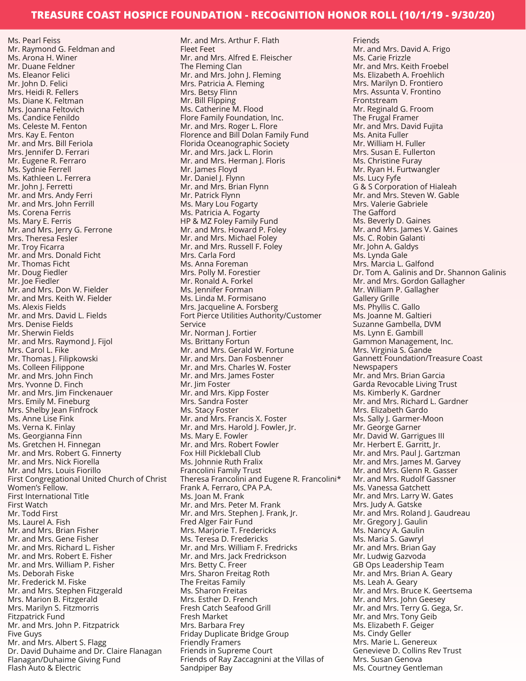Ms. Pearl Feiss Mr. Raymond G. Feldman and Ms. Arona H. Winer Mr. Duane Feldner Ms. Eleanor Felici Mr. John D. Felici Mrs. Heidi R. Fellers Ms. Diane K. Feltman Mrs. Joanna Feltovich Ms. Candice Fenildo Ms. Celeste M. Fenton Mrs. Kay E. Fenton Mr. and Mrs. Bill Feriola Mrs. Jennifer D. Ferrari Mr. Eugene R. Ferraro Ms. Sydnie Ferrell Ms. Kathleen L. Ferrera Mr. John J. Ferretti Mr. and Mrs. Andy Ferri Mr. and Mrs. John Ferrill Ms. Corena Ferris Ms. Mary E. Ferris Mr. and Mrs. Jerry G. Ferrone Mrs. Theresa Fesler Mr. Troy Ficarra Mr. and Mrs. Donald Ficht Mr. Thomas Ficht Mr. Doug Fiedler Mr. Joe Fiedler Mr. and Mrs. Don W. Fielder Mr. and Mrs. Keith W. Fielder Ms. Alexis Fields Mr. and Mrs. David L. Fields Mrs. Denise Fields Mr. Sherwin Fields Mr. and Mrs. Raymond J. Fijol Mrs. Carol L. Fike Mr. Thomas J. Filipkowski Ms. Colleen Filippone Mr. and Mrs. John Finch Mrs. Yvonne D. Finch Mr. and Mrs. Jim Finckenauer Mrs. Emily M. Fineburg Mrs. Shelby Jean Finfrock Ms. Anne Lise Fink Ms. Verna K. Finlay Ms. Georgianna Finn Ms. Gretchen H. Finnegan Mr. and Mrs. Robert G. Finnerty Mr. and Mrs. Nick Fiorella Mr. and Mrs. Louis Fiorillo First Congregational United Church of Christ Women's Fellow. First International Title First Watch Mr. Todd First Ms. Laurel A. Fish Mr. and Mrs. Brian Fisher Mr. and Mrs. Gene Fisher Mr. and Mrs. Richard L. Fisher Mr. and Mrs. Robert E. Fisher Mr. and Mrs. William P. Fisher Ms. Deborah Fiske Mr. Frederick M. Fiske Mr. and Mrs. Stephen Fitzgerald Mrs. Marion B. Fitzgerald Mrs. Marilyn S. Fitzmorris Fitzpatrick Fund Mr. and Mrs. John P. Fitzpatrick Five Guys Mr. and Mrs. Albert S. Flagg Dr. David Duhaime and Dr. Claire Flanagan Flanagan/Duhaime Giving Fund Flash Auto & Electric

Mr. and Mrs. Arthur F. Flath Fleet Feet Mr. and Mrs. Alfred E. Fleischer The Fleming Clan Mr. and Mrs. John J. Fleming Mrs. Patricia A. Fleming Mrs. Betsy Flinn Mr. Bill Flipping Ms. Catherine M. Flood Flore Family Foundation, Inc. Mr. and Mrs. Roger L. Flore Florence and Bill Dolan Family Fund Florida Oceanographic Society Mr. and Mrs. Jack L. Florin Mr. and Mrs. Herman J. Floris Mr. James Floyd Mr. Daniel J. Flynn Mr. and Mrs. Brian Flynn Mr. Patrick Flynn Ms. Mary Lou Fogarty Ms. Patricia A. Fogarty HP & MZ Foley Family Fund Mr. and Mrs. Howard P. Foley Mr. and Mrs. Michael Foley Mr. and Mrs. Russell F. Foley Mrs. Carla Ford Ms. Anna Foreman Mrs. Polly M. Forestier Mr. Ronald A. Forkel Ms. Jennifer Forman Ms. Linda M. Formisano Mrs. Jacqueline A. Forsberg Fort Pierce Utilities Authority/Customer Service Mr. Norman J. Fortier Ms. Brittany Fortun Mr. and Mrs. Gerald W. Fortune Mr. and Mrs. Dan Fosbenner Mr. and Mrs. Charles W. Foster Mr. and Mrs. James Foster Mr. Jim Foster Mr. and Mrs. Kipp Foster Mrs. Sandra Foster Ms. Stacy Foster Mr. and Mrs. Francis X. Foster Mr. and Mrs. Harold J. Fowler, Jr. Ms. Mary E. Fowler Mr. and Mrs. Robert Fowler Fox Hill Pickleball Club Ms. Johnnie Ruth Fralix Francolini Family Trust Theresa Francolini and Eugene R. Francolini\* Frank A. Ferraro, CPA P.A. Ms. Joan M. Frank Mr. and Mrs. Peter M. Frank Mr. and Mrs. Stephen J. Frank, Jr. Fred Alger Fair Fund Mrs. Marjorie T. Fredericks Ms. Teresa D. Fredericks Mr. and Mrs. William F. Fredricks Mr. and Mrs. Jack Fredrickson Mrs. Betty C. Freer Mrs. Sharon Freitag Roth The Freitas Family Ms. Sharon Freitas Mrs. Esther D. French Fresh Catch Seafood Grill Fresh Market Mrs. Barbara Frey Friday Duplicate Bridge Group Friendly Framers Friends in Supreme Court Friends of Ray Zaccagnini at the Villas of Sandpiper Bay

Friends Mr. and Mrs. David A. Frigo Ms. Carie Frizzle Mr. and Mrs. Keith Froebel Ms. Elizabeth A. Froehlich Mrs. Marilyn D. Frontiero Mrs. Assunta V. Frontino Frontstream Mr. Reginald G. Froom The Frugal Framer Mr. and Mrs. David Fujita Ms. Anita Fuller Mr. William H. Fuller Mrs. Susan E. Fullerton Ms. Christine Furay Mr. Ryan H. Furtwangler Ms. Lucy Fyfe G & S Corporation of Hialeah Mr. and Mrs. Steven W. Gable Mrs. Valerie Gabriele The Gafford Ms. Beverly D. Gaines Mr. and Mrs. James V. Gaines Ms. C. Robin Galanti Mr. John A. Galdys Ms. Lynda Gale Mrs. Marcia L. Galfond Dr. Tom A. Galinis and Dr. Shannon Galinis Mr. and Mrs. Gordon Gallagher Mr. William P. Gallagher Gallery Grille Ms. Phyllis C. Gallo Ms. Joanne M. Galtieri Suzanne Gambella, DVM Ms. Lynn E. Gambill Gammon Management, Inc. Mrs. Virginia S. Gande Gannett Foundation/Treasure Coast Newspapers Mr. and Mrs. Brian Garcia Garda Revocable Living Trust Ms. Kimberly K. Gardner Mr. and Mrs. Richard L. Gardner Mrs. Elizabeth Gardo Ms. Sally J. Garmer-Moon Mr. George Garner Mr. David W. Garrigues III Mr. Herbert E. Garritt, Jr. Mr. and Mrs. Paul J. Gartzman Mr. and Mrs. James M. Garvey Mr. and Mrs. Glenn R. Gasser Mr. and Mrs. Rudolf Gassner Ms. Vanessa Gatchett Mr. and Mrs. Larry W. Gates Mrs. Judy A. Gatske Mr. and Mrs. Roland J. Gaudreau Mr. Gregory J. Gaulin Ms. Nancy A. Gaulin Ms. Maria S. Gawryl Mr. and Mrs. Brian Gay Mr. Ludwig Gazvoda GB Ops Leadership Team Mr. and Mrs. Brian A. Geary Ms. Leah A. Geary Mr. and Mrs. Bruce K. Geertsema Mr. and Mrs. John Geesey Mr. and Mrs. Terry G. Gega, Sr. Mr. and Mrs. Tony Geib Ms. Elizabeth F. Geiger Ms. Cindy Geller Mrs. Marie L. Genereux Genevieve D. Collins Rev Trust Mrs. Susan Genova Ms. Courtney Gentleman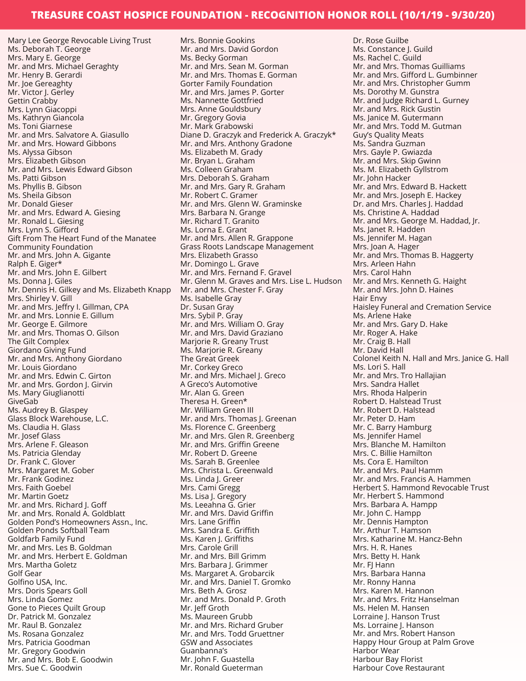Mary Lee George Revocable Living Trust Ms. Deborah T. George Mrs. Mary E. George Mr. and Mrs. Michael Geraghty Mr. Henry B. Gerardi Mr. Joe Gereaghty Mr. Victor J. Gerley Gettin Crabby Mrs. Lynn Giacoppi Ms. Kathryn Giancola Ms. Toni Giarnese Mr. and Mrs. Salvatore A. Giasullo Mr. and Mrs. Howard Gibbons Ms. Alyssa Gibson Mrs. Elizabeth Gibson Mr. and Mrs. Lewis Edward Gibson Ms. Patti Gibson Ms. Phyllis B. Gibson Ms. Sheila Gibson Mr. Donald Gieser Mr. and Mrs. Edward A. Giesing Mr. Ronald L. Giesing Mrs. Lynn S. Gifford Gift From The Heart Fund of the Manatee Community Foundation Mr. and Mrs. John A. Gigante Ralph E. Giger\* Mr. and Mrs. John E. Gilbert Ms. Donna J. Giles Mr. Dennis H. Gilkey and Ms. Elizabeth Knapp Mrs. Shirley V. Gill Mr. and Mrs. Jeffry I. Gillman, CPA Mr. and Mrs. Lonnie E. Gillum Mr. George E. Gilmore Mr. and Mrs. Thomas O. Gilson The Gilt Complex Giordano Giving Fund Mr. and Mrs. Anthony Giordano Mr. Louis Giordano Mr. and Mrs. Edwin C. Girton Mr. and Mrs. Gordon J. Girvin Ms. Mary Giuglianotti GiveGab Ms. Audrey B. Glaspey Glass Block Warehouse, L.C. Ms. Claudia H. Glass Mr. Josef Glass Mrs. Arlene F. Gleason Ms. Patricia Glenday Dr. Frank C. Glover Mrs. Margaret M. Gober Mr. Frank Godinez Mrs. Faith Goebel Mr. Martin Goetz Mr. and Mrs. Richard J. Goff Mr. and Mrs. Ronald A. Goldblatt Golden Pond's Homeowners Assn., Inc. Golden Ponds Softball Team Goldfarb Family Fund Mr. and Mrs. Les B. Goldman Mr. and Mrs. Herbert E. Goldman Mrs. Martha Goletz Golf Gear Golfino USA, Inc. Mrs. Doris Spears Goll Mrs. Linda Gomez Gone to Pieces Quilt Group Dr. Patrick M. Gonzalez Mr. Raul B. Gonzalez Ms. Rosana Gonzalez Mrs. Patricia Goodman Mr. Gregory Goodwin Mr. and Mrs. Bob E. Goodwin Mrs. Sue C. Goodwin

Mrs. Bonnie Gookins Mr. and Mrs. David Gordon Ms. Becky Gorman Mr. and Mrs. Sean M. Gorman Mr. and Mrs. Thomas E. Gorman Gorter Family Foundation Mr. and Mrs. James P. Gorter Ms. Nannette Gottfried Mrs. Anne Gouldsbury Mr. Gregory Govia Mr. Mark Grabowski Diane D. Graczyk and Frederick A. Graczyk\* Mr. and Mrs. Anthony Gradone Ms. Elizabeth M. Grady Mr. Bryan L. Graham Ms. Colleen Graham Mrs. Deborah S. Graham Mr. and Mrs. Gary R. Graham Mr. Robert C. Gramer Mr. and Mrs. Glenn W. Graminske Mrs. Barbara N. Grange Mr. Richard T. Granito Ms. Lorna E. Grant Mr. and Mrs. Allen R. Grappone Grass Roots Landscape Management Mrs. Elizabeth Grasso Mr. Domingo L. Grave Mr. and Mrs. Fernand F. Gravel Mr. Glenn M. Graves and Mrs. Lise L. Hudson Mr. and Mrs. Chester F. Gray Ms. Isabelle Gray Dr. Susan Gray Mrs. Sybil P. Gray Mr. and Mrs. William O. Gray Mr. and Mrs. David Graziano Marjorie R. Greany Trust Ms. Marjorie R. Greany The Great Greek Mr. Corkey Greco Mr. and Mrs. Michael J. Greco A Greco's Automotive Mr. Alan G. Green Theresa H. Green\* Mr. William Green III Mr. and Mrs. Thomas J. Greenan Ms. Florence C. Greenberg Mr. and Mrs. Glen R. Greenberg Mr. and Mrs. Griffin Greene Mr. Robert D. Greene Ms. Sarah B. Greenlee Mrs. Christa L. Greenwald Ms. Linda J. Greer Mrs. Cami Gregg Ms. Lisa J. Gregory Ms. Leeahna G. Grier Mr. and Mrs. David Griffin Mrs. Lane Griffin Mrs. Sandra E. Griffith Ms. Karen J. Griffiths Mrs. Carole Grill Mr. and Mrs. Bill Grimm Mrs. Barbara J. Grimmer Ms. Margaret A. Grobarcik Mr. and Mrs. Daniel T. Gromko Mrs. Beth A. Grosz Mr. and Mrs. Donald P. Groth Mr. Jeff Groth Ms. Maureen Grubb Mr. and Mrs. Richard Gruber Mr. and Mrs. Todd Gruettner GSW and Associates Guanbanna's Mr. John F. Guastella Mr. Ronald Gueterman

Dr. Rose Guilbe Ms. Constance J. Guild Ms. Rachel C. Guild Mr. and Mrs. Thomas Guilliams Mr. and Mrs. Gifford L. Gumbinner Mr. and Mrs. Christopher Gumm Ms. Dorothy M. Gunstra Mr. and Judge Richard L. Gurney Mr. and Mrs. Rick Gustin Ms. Janice M. Gutermann Mr. and Mrs. Todd M. Gutman Guy's Quality Meats Ms. Sandra Guzman Mrs. Gayle P. Gwiazda Mr. and Mrs. Skip Gwinn Ms. M. Elizabeth Gyllstrom Mr. John Hacker Mr. and Mrs. Edward B. Hackett Mr. and Mrs. Joseph E. Hackey Dr. and Mrs. Charles J. Haddad Ms. Christine A. Haddad Mr. and Mrs. George M. Haddad, Jr. Ms. Janet R. Hadden Ms. Jennifer M. Hagan Mrs. Joan A. Hager Mr. and Mrs. Thomas B. Haggerty Mrs. Arleen Hahn Mrs. Carol Hahn Mr. and Mrs. Kenneth G. Haight Mr. and Mrs. John D. Haines Hair Envy Haisley Funeral and Cremation Service Ms. Arlene Hake Mr. and Mrs. Gary D. Hake Mr. Roger A. Hake Mr. Craig B. Hall Mr. David Hall Colonel Keith N. Hall and Mrs. Janice G. Hall Ms. Lori S. Hall Mr. and Mrs. Tro Hallajian Mrs. Sandra Hallet Mrs. Rhoda Halperin Robert D. Halstead Trust Mr. Robert D. Halstead Mr. Peter D. Ham Mr. C. Barry Hamburg Ms. Jennifer Hamel Mrs. Blanche M. Hamilton Mrs. C. Billie Hamilton Ms. Cora E. Hamilton Mr. and Mrs. Paul Hamm Mr. and Mrs. Francis A. Hammen Herbert S. Hammond Revocable Trust Mr. Herbert S. Hammond Mrs. Barbara A. Hampp Mr. John C. Hampp Mr. Dennis Hampton Mr. Arthur T. Hamson Mrs. Katharine M. Hancz-Behn Mrs. H. R. Hanes Mrs. Betty H. Hank Mr. FJ Hann Mrs. Barbara Hanna Mr. Ronny Hanna Mrs. Karen M. Hannon Mr. and Mrs. Fritz Hanselman Ms. Helen M. Hansen Lorraine J. Hanson Trust Ms. Lorraine J. Hanson Mr. and Mrs. Robert Hanson Happy Hour Group at Palm Grove Harbor Wear Harbour Bay Florist Harbour Cove Restaurant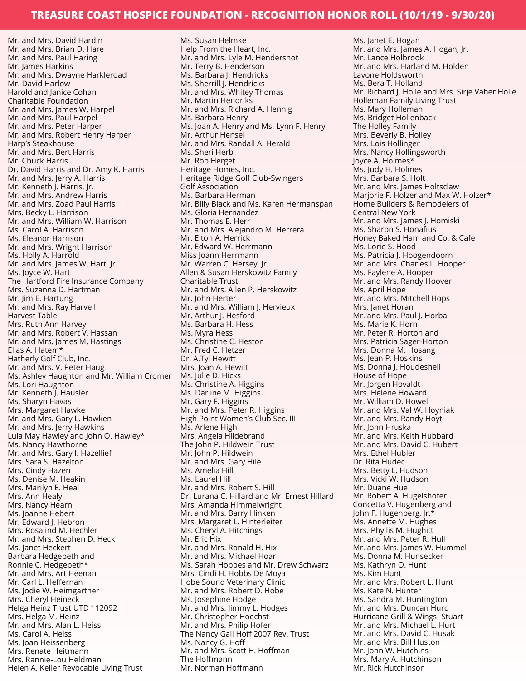Mr. and Mrs. David Hardin Mr. and Mrs. Brian D. Hare Mr. and Mrs. Paul Haring Mr. James Harkins Mr. and Mrs. Dwayne Harkleroad Mr. David Harlow Harold and Janice Cohan Charitable Foundation Mr. and Mrs. James W. Harpel Mr. and Mrs. Paul Harpel Mr. and Mrs. Peter Harper Mr. and Mrs. Robert Henry Harper Harp's Steakhouse Mr. and Mrs. Bert Harris Mr. Chuck Harris Dr. David Harris and Dr. Amy K. Harris Mr. and Mrs. Jerry A. Harris Mr. Kenneth J. Harris, Jr. Mr. and Mrs. Andrew Harris Mr. and Mrs. Zoad Paul Harris Mrs. Becky L. Harrison Mr. and Mrs. William W. Harrison Ms. Carol A. Harrison Ms. Eleanor Harrison Mr. and Mrs. Wright Harrison Ms. Holly A. Harrold Mr. and Mrs. James W. Hart, Jr. Ms. Joyce W. Hart The Hartford Fire Insurance Company Mrs. Suzanna D. Hartman Mr. Jim E. Hartung Mr. and Mrs. Ray Harvell Harvest Table Mrs. Ruth Ann Harvey Mr. and Mrs. Robert V. Hassan Mr. and Mrs. James M. Hastings Elias A. Hatem\* Hatherly Golf Club, Inc. Mr. and Mrs. V. Peter Haug Ms. Ashley Haughton and Mr. William Cromer Ms. Lori Haughton Mr. Kenneth J. Hausler Ms. Sharyn Havas Mrs. Margaret Hawke Mr. and Mrs. Gary L. Hawken Mr. and Mrs. Jerry Hawkins Lula May Hawley and John O. Hawley\* Ms. Nancy Hawthorne Mr. and Mrs. Gary I. Hazellief Mrs. Sara S. Hazelton Mrs. Cindy Hazen Ms. Denise M. Heakin Mrs. Marilyn E. Heal Mrs. Ann Healy Mrs. Nancy Hearn Ms. Joanne Hebert Mr. Edward I. Hebron Mrs. Rosalind M. Hechler Mr. and Mrs. Stephen D. Heck Ms. Janet Heckert Barbara Hedgepeth and Ronnie C. Hedgepeth\* Mr. and Mrs. Art Heenan Mr. Carl L. Heffernan Ms. Jodie W. Heimgartner Mrs. Cheryl Heineck Helga Heinz Trust UTD 112092 Mrs. Helga M. Heinz Mr. and Mrs. Alan L. Heiss Ms. Carol A. Heiss Ms. Joan Heissenberg Mrs. Renate Heitmann Mrs. Rannie-Lou Heldman Helen A. Keller Revocable Living Trust

Ms. Susan Helmke Help From the Heart, Inc. Mr. and Mrs. Lyle M. Hendershot Mr. Terry B. Henderson Ms. Barbara J. Hendricks Ms. Sherrill J. Hendricks Mr. and Mrs. Whitey Thomas Mr. Martin Hendriks Mr. and Mrs. Richard A. Hennig Ms. Barbara Henry Ms. Joan A. Henry and Ms. Lynn F. Henry Mr. Arthur Hensel Mr. and Mrs. Randall A. Herald Ms. Sheri Herb Mr. Rob Herget Heritage Homes, Inc. Heritage Ridge Golf Club-Swingers Golf Association Ms. Barbara Herman Mr. Billy Black and Ms. Karen Hermanspan Ms. Gloria Hernandez Mr. Thomas E. Herr Mr. and Mrs. Alejandro M. Herrera Mr. Elton A. Herrick Mr. Edward W. Herrmann Miss Joann Herrmann Mr. Warren C. Hersey, Jr. Allen & Susan Herskowitz Family Charitable Trust Mr. and Mrs. Allen P. Herskowitz Mr. John Herter Mr. and Mrs. William J. Hervieux Mr. Arthur J. Hesford Ms. Barbara H. Hess Ms. Myra Hess Ms. Christine C. Heston Mr. Fred C. Hetzer Dr. A.Tyl Hewitt Mrs. Joan A. Hewitt Ms. Julie D. Hicks Ms. Christine A. Higgins Ms. Darline M. Higgins Mr. Gary F. Higgins Mr. and Mrs. Peter R. Higgins High Point Women's Club Sec. III Ms. Arlene High Mrs. Angela Hildebrand The John P. Hildwein Trust Mr. John P. Hildwein Mr. and Mrs. Gary Hile Ms. Amelia Hill Ms. Laurel Hill Mr. and Mrs. Robert S. Hill Dr. Lurana C. Hillard and Mr. Ernest Hillard Mrs. Amanda Himmelwright Mr. and Mrs. Barry Hinken Mrs. Margaret L. Hinterleiter Ms. Cheryl A. Hitchings Mr. Eric Hix Mr. and Mrs. Ronald H. Hix Mr. and Mrs. Michael Hoar Ms. Sarah Hobbes and Mr. Drew Schwarz Mrs. Cindi H. Hobbs De Moya Hobe Sound Veterinary Clinic Mr. and Mrs. Robert D. Hobe Ms. Josephine Hodge Mr. and Mrs. Jimmy L. Hodges Mr. Christopher Hoechst Mr. and Mrs. Philip Hofer The Nancy Gail Hoff 2007 Rev. Trust Ms. Nancy G. Hoff Mr. and Mrs. Scott H. Hoffman The Hoffmann Mr. Norman Hoffmann

Ms. Janet E. Hogan Mr. and Mrs. James A. Hogan, Jr. Mr. Lance Holbrook Mr. and Mrs. Harland M. Holden Lavone Holdsworth Ms. Bera T. Holland Mr. Richard J. Holle and Mrs. Sirje Vaher Holle Holleman Family Living Trust Ms. Mary Holleman Ms. Bridget Hollenback The Holley Family Mrs. Beverly B. Holley Mrs. Lois Hollinger Mrs. Nancy Hollingsworth Joyce A. Holmes\* Ms. Judy H. Holmes Mrs. Barbara S. Holt Mr. and Mrs. James Holtsclaw Marjorie F. Holzer and Max W. Holzer\* Home Builders & Remodelers of Central New York Mr. and Mrs. James J. Homiski Ms. Sharon S. Honafius Honey Baked Ham and Co. & Cafe Ms. Lorie S. Hood Ms. Patricia J. Hoogendoorn Mr. and Mrs. Charles L. Hooper Ms. Faylene A. Hooper Mr. and Mrs. Randy Hoover Ms. April Hope Mr. and Mrs. Mitchell Hops Mrs. Janet Horan Mr. and Mrs. Paul J. Horbal Ms. Marie K. Horn Mr. Peter R. Horton and Mrs. Patricia Sager-Horton Mrs. Donna M. Hosang Ms. Jean P. Hoskins Ms. Donna J. Houdeshell House of Hope Mr. Jorgen Hovaldt Mrs. Helene Howard Mr. William D. Howell Mr. and Mrs. Val W. Hoyniak Mr. and Mrs. Randy Hoyt Mr. John Hruska Mr. and Mrs. Keith Hubbard Mr. and Mrs. David C. Hubert Mrs. Ethel Hubler Dr. Rita Hudec Mrs. Betty L. Hudson Mrs. Vicki W. Hudson Mr. Duane Hue Mr. Robert A. Hugelshofer Concetta V. Hugenberg and John F. Hugenberg, Jr.<sup>\*</sup> Ms. Annette M. Hughes Mrs. Phyllis M. Hughitt Mr. and Mrs. Peter R. Hull Mr. and Mrs. James W. Hummel Ms. Donna M. Hunsecker Ms. Kathryn O. Hunt Ms. Kim Hunt Mr. and Mrs. Robert L. Hunt Ms. Kate N. Hunter Ms. Sandra M. Huntington Mr. and Mrs. Duncan Hurd Hurricane Grill & Wings- Stuart Mr. and Mrs. Michael L. Hurt Mr. and Mrs. David C. Husak Mr. and Mrs. Bill Huston Mr. John W. Hutchins Mrs. Mary A. Hutchinson Mr. Rick Hutchinson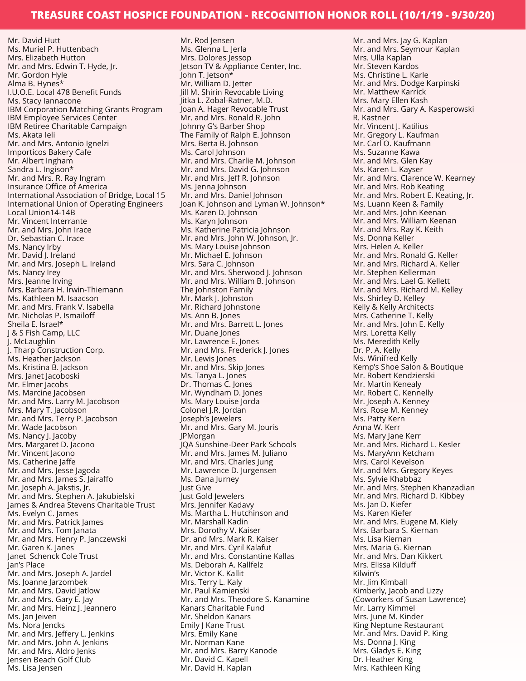Mr. David Hutt Ms. Muriel P. Huttenbach Mrs. Elizabeth Hutton Mr. and Mrs. Edwin T. Hyde, Jr. Mr. Gordon Hyle Alma B. Hynes\* I.U.O.E. Local 478 Benefit Funds Ms. Stacy Iannacone IBM Corporation Matching Grants Program IBM Employee Services Center IBM Retiree Charitable Campaign Ms. Akata Ieli Mr. and Mrs. Antonio Ignelzi Importicos Bakery Cafe Mr. Albert Ingham Sandra L. Ingison\* Mr. and Mrs. R. Ray Ingram Insurance Office of America International Association of Bridge, Local 15 International Union of Operating Engineers Local Union14-14B Mr. Vincent Interrante Mr. and Mrs. John Irace Dr. Sebastian C. Irace Ms. Nancy Irby Mr. David J. Ireland Mr. and Mrs. Joseph L. Ireland Ms. Nancy Irey Mrs. Jeanne Irving Mrs. Barbara H. Irwin-Thiemann Ms. Kathleen M. Isaacson Mr. and Mrs. Frank V. Isabella Mr. Nicholas P. Ismailoff Sheila E. Israel\* J & S Fish Camp, LLC J. McLaughlin J. Tharp Construction Corp. Ms. Heather Jackson Ms. Kristina B. Jackson Mrs. Janet Jacoboski Mr. Elmer Jacobs Ms. Marcine Jacobsen Mr. and Mrs. Larry M. Jacobson Mrs. Mary T. Jacobson Mr. and Mrs. Terry P. Jacobson Mr. Wade Jacobson Ms. Nancy J. Jacoby Mrs. Margaret D. Jacono Mr. Vincent Jacono Ms. Catherine Jaffe Mr. and Mrs. Jesse Jagoda Mr. and Mrs. James S. Jairaffo Mr. Joseph A. Jakstis, Jr. Mr. and Mrs. Stephen A. Jakubielski James & Andrea Stevens Charitable Trust Ms. Evelyn C. James Mr. and Mrs. Patrick James Mr. and Mrs. Tom Janata Mr. and Mrs. Henry P. Janczewski Mr. Garen K. Janes Janet Schenck Cole Trust Jan's Place Mr. and Mrs. Joseph A. Jardel Ms. Joanne Jarzombek Mr. and Mrs. David Jatlow Mr. and Mrs. Gary E. Jay Mr. and Mrs. Heinz J. Jeannero Ms. Jan Jeiven Ms. Nora Jencks Mr. and Mrs. Jeffery L. Jenkins Mr. and Mrs. John A. Jenkins Mr. and Mrs. Aldro Jenks Jensen Beach Golf Club Ms. Lisa Jensen

Mr. Rod Jensen Ms. Glenna L. Jerla Mrs. Dolores Jessop Jetson TV & Appliance Center, Inc. John T. Jetson\* Mr. William D. Jetter Jill M. Shirin Revocable Living Jitka L. Zobal-Ratner, M.D. Joan A. Hager Revocable Trust Mr. and Mrs. Ronald R. John Johnny G's Barber Shop The Family of Ralph E. Johnson Mrs. Berta B. Johnson Ms. Carol Johnson Mr. and Mrs. Charlie M. Johnson Mr. and Mrs. David G. Johnson Mr. and Mrs. Jeff R. Johnson Ms. Jenna Johnson Mr. and Mrs. Daniel Johnson Joan K. Johnson and Lyman W. Johnson\* Ms. Karen D. Johnson Ms. Karyn Johnson Ms. Katherine Patricia Johnson Mr. and Mrs. John W. Johnson, Jr. Ms. Mary Louise Johnson Mr. Michael E. Johnson Mrs. Sara C. Johnson Mr. and Mrs. Sherwood J. Johnson Mr. and Mrs. William B. Johnson The Johnston Family Mr. Mark J. Johnston Mr. Richard Johnstone Ms. Ann B. Jones Mr. and Mrs. Barrett L. Jones Mr. Duane Jones Mr. Lawrence E. Jones Mr. and Mrs. Frederick J. Jones Mr. Lewis Jones Mr. and Mrs. Skip Jones Ms. Tanya L. Jones Dr. Thomas C. Jones Mr. Wyndham D. Jones Ms. Mary Louise Jorda Colonel J.R. Jordan Joseph's Jewelers Mr. and Mrs. Gary M. Jouris JPMorgan JQA Sunshine-Deer Park Schools Mr. and Mrs. James M. Juliano Mr. and Mrs. Charles Jung Mr. Lawrence D. Jurgensen Ms. Dana Jurney Just Give Just Gold Jewelers Mrs. Jennifer Kadavy Ms. Martha L. Hutchinson and Mr. Marshall Kadin Mrs. Dorothy V. Kaiser Dr. and Mrs. Mark R. Kaiser Mr. and Mrs. Cyril Kalafut Mr. and Mrs. Constantine Kallas Ms. Deborah A. Kallfelz Mr. Victor K. Kallit Mrs. Terry L. Kaly Mr. Paul Kamienski Mr. and Mrs. Theodore S. Kanamine Kanars Charitable Fund Mr. Sheldon Kanars Emily J Kane Trust Mrs. Emily Kane Mr. Norman Kane Mr. and Mrs. Barry Kanode Mr. David C. Kapell Mr. David H. Kaplan

Mr. and Mrs. Jay G. Kaplan Mr. and Mrs. Seymour Kaplan Mrs. Ulla Kaplan Mr. Steven Kardos Ms. Christine L. Karle Mr. and Mrs. Dodge Karpinski Mr. Matthew Karrick Mrs. Mary Ellen Kash Mr. and Mrs. Gary A. Kasperowski R. Kastner Mr. Vincent J. Katilius Mr. Gregory L. Kaufman Mr. Carl O. Kaufmann Ms. Suzanne Kawa Mr. and Mrs. Glen Kay Ms. Karen L. Kayser Mr. and Mrs. Clarence W. Kearney Mr. and Mrs. Rob Keating Mr. and Mrs. Robert E. Keating, Jr. Ms. Luann Keen & Family Mr. and Mrs. John Keenan Mr. and Mrs. William Keenan Mr. and Mrs. Ray K. Keith Ms. Donna Keller Mrs. Helen A. Keller Mr. and Mrs. Ronald G. Keller Mr. and Mrs. Richard A. Keller Mr. Stephen Kellerman Mr. and Mrs. Lael G. Kellett Mr. and Mrs. Richard M. Kelley Ms. Shirley D. Kelley Kelly & Kelly Architects Mrs. Catherine T. Kelly Mr. and Mrs. John E. Kelly Mrs. Loretta Kelly Ms. Meredith Kelly Dr. P. A. Kelly Ms. Winifred Kelly Kemp's Shoe Salon & Boutique Mr. Robert Kendzierski Mr. Martin Kenealy Mr. Robert C. Kennelly Mr. Joseph A. Kenney Mrs. Rose M. Kenney Ms. Patty Kern Anna W. Kerr Ms. Mary Jane Kerr Mr. and Mrs. Richard L. Kesler Ms. MaryAnn Ketcham Mrs. Carol Kevelson Mr. and Mrs. Gregory Keyes Ms. Sylvie Khabbaz Mr. and Mrs. Stephen Khanzadian Mr. and Mrs. Richard D. Kibbey Ms. Jan D. Kiefer Ms. Karen Kiefer Mr. and Mrs. Eugene M. Kiely Mrs. Barbara S. Kiernan Ms. Lisa Kiernan Mrs. Maria G. Kiernan Mr. and Mrs. Dan Kikkert Mrs. Elissa Kilduff Kilwin's Mr. Jim Kimball Kimberly, Jacob and Lizzy (Coworkers of Susan Lawrence) Mr. Larry Kimmel Mrs. June M. Kinder King Neptune Restaurant Mr. and Mrs. David P. King Ms. Donna J. King Mrs. Gladys E. King Dr. Heather King Mrs. Kathleen King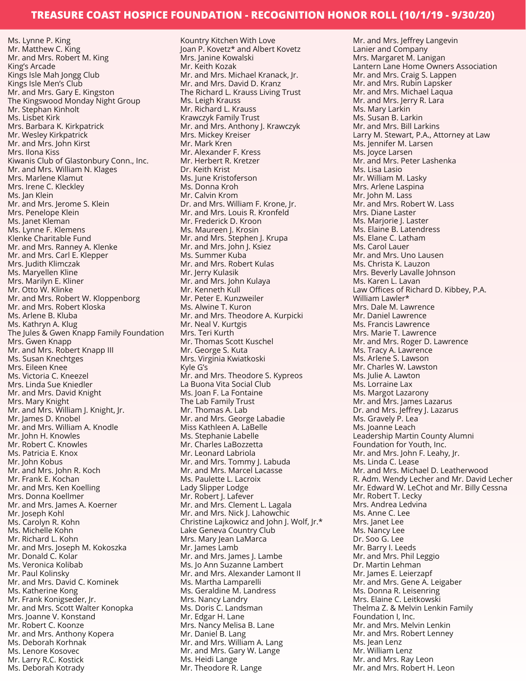Ms. Lynne P. King Mr. Matthew C. King Mr. and Mrs. Robert M. King King's Arcade Kings Isle Mah Jongg Club Kings Isle Men's Club Mr. and Mrs. Gary E. Kingston The Kingswood Monday Night Group Mr. Stephan Kinholt Ms. Lisbet Kirk Mrs. Barbara K. Kirkpatrick Mr. Wesley Kirkpatrick Mr. and Mrs. John Kirst Mrs. Ilona Kiss Kiwanis Club of Glastonbury Conn., Inc. Mr. and Mrs. William N. Klages Mrs. Marlene Klamut Mrs. Irene C. Kleckley Ms. Jan Klein Mr. and Mrs. Jerome S. Klein Mrs. Penelope Klein Ms. Janet Kleman Ms. Lynne F. Klemens Klenke Charitable Fund Mr. and Mrs. Ranney A. Klenke Mr. and Mrs. Carl E. Klepper Mrs. Judith Klimczak Ms. Maryellen Kline Mrs. Marilyn E. Kliner Mr. Otto W. Klinke Mr. and Mrs. Robert W. Kloppenborg Mr. and Mrs. Robert Kloska Ms. Arlene B. Kluba Ms. Kathryn A. Klug The Jules & Gwen Knapp Family Foundation Mrs. Gwen Knapp Mr. and Mrs. Robert Knapp III Ms. Susan Knechtges Mrs. Eileen Knee Ms. Victoria C. Kneezel Mrs. Linda Sue Kniedler Mr. and Mrs. David Knight Mrs. Mary Knight Mr. and Mrs. William J. Knight, Jr. Mr. James D. Knobel Mr. and Mrs. William A. Knodle Mr. John H. Knowles Mr. Robert C. Knowles Ms. Patricia E. Knox Mr. John Kobus Mr. and Mrs. John R. Koch Mr. Frank E. Kochan Mr. and Mrs. Ken Koelling Mrs. Donna Koellmer Mr. and Mrs. James A. Koerner Mr. Joseph Kohl Ms. Carolyn R. Kohn Ms. Michelle Kohn Mr. Richard L. Kohn Mr. and Mrs. Joseph M. Kokoszka Mr. Donald C. Kolar Ms. Veronica Kolibab Mr. Paul Kolinsky Mr. and Mrs. David C. Kominek Ms. Katherine Kong Mr. Frank Konigseder, Jr. Mr. and Mrs. Scott Walter Konopka Mrs. Joanne V. Konstand Mr. Robert C. Koonze Mr. and Mrs. Anthony Kopera Ms. Deborah Korhnak Ms. Lenore Kosovec Mr. Larry R.C. Kostick

Ms. Deborah Kotrady

Kountry Kitchen With Love Joan P. Kovetz\* and Albert Kovetz Mrs. Janine Kowalski Mr. Keith Kozak Mr. and Mrs. Michael Kranack, Jr. Mr. and Mrs. David D. Kranz The Richard L. Krauss Living Trust Ms. Leigh Krauss Mr. Richard L. Krauss Krawczyk Family Trust Mr. and Mrs. Anthony J. Krawczyk Mrs. Mickey Kreiser Mr. Mark Kren Mr. Alexander F. Kress Mr. Herbert R. Kretzer Dr. Keith Krist Ms. June Kristoferson Ms. Donna Kroh Mr. Calvin Krom Dr. and Mrs. William F. Krone, Jr. Mr. and Mrs. Louis R. Kronfeld Mr. Frederick D. Kroon Ms. Maureen J. Krosin Mr. and Mrs. Stephen J. Krupa Mr. and Mrs. John J. Ksiez Ms. Summer Kuba Mr. and Mrs. Robert Kulas Mr. Jerry Kulasik Mr. and Mrs. John Kulaya Mr. Kenneth Kull Mr. Peter E. Kunzweiler Ms. Alwine T. Kuron Mr. and Mrs. Theodore A. Kurpicki Mr. Neal V. Kurtgis Mrs. Teri Kurth Mr. Thomas Scott Kuschel Mr. George S. Kuta Mrs. Virginia Kwiatkoski Kyle G's Mr. and Mrs. Theodore S. Kypreos La Buona Vita Social Club Ms. Joan F. La Fontaine The Lab Family Trust Mr. Thomas A. Lab Mr. and Mrs. George Labadie Miss Kathleen A. LaBelle Ms. Stephanie Labelle Mr. Charles LaBozzetta Mr. Leonard Labriola Mr. and Mrs. Tommy J. Labuda Mr. and Mrs. Marcel Lacasse Ms. Paulette L. Lacroix Lady Slipper Lodge Mr. Robert J. Lafever Mr. and Mrs. Clement L. Lagala Mr. and Mrs. Nick J. Lahowchic Christine Lajkowicz and John J. Wolf, Jr.\* Lake Geneva Country Club Mrs. Mary Jean LaMarca Mr. James Lamb Mr. and Mrs. James J. Lambe Ms. Jo Ann Suzanne Lambert Mr. and Mrs. Alexander Lamont II Ms. Martha Lamparelli Ms. Geraldine M. Landress Mrs. Nancy Landry Ms. Doris C. Landsman Mr. Edgar H. Lane Mrs. Nancy Melisa B. Lane Mr. Daniel B. Lang Mr. and Mrs. William A. Lang Mr. and Mrs. Gary W. Lange Ms. Heidi Lange Mr. Theodore R. Lange

Mr. and Mrs. Jeffrey Langevin Lanier and Company Mrs. Margaret M. Lanigan Lantern Lane Home Owners Association Mr. and Mrs. Craig S. Lappen Mr. and Mrs. Rubin Lapsker Mr. and Mrs. Michael Laqua Mr. and Mrs. Jerry R. Lara Ms. Mary Larkin Ms. Susan B. Larkin Mr. and Mrs. Bill Larkins Larry M. Stewart, P.A., Attorney at Law Ms. Jennifer M. Larsen Ms. Joyce Larsen Mr. and Mrs. Peter Lashenka Ms. Lisa Lasio Mr. William M. Lasky Mrs. Arlene Laspina Mr. John M. Lass Mr. and Mrs. Robert W. Lass Mrs. Diane Laster Ms. Marjorie J. Laster Ms. Elaine B. Latendress Ms. Elane C. Latham Ms. Carol Lauer Mr. and Mrs. Uno Lausen Ms. Christa K. Lauzon Mrs. Beverly Lavalle Johnson Ms. Karen L. Lavan Law Offices of Richard D. Kibbey, P.A. William Lawler\* Mrs. Dale M. Lawrence Mr. Daniel Lawrence Ms. Francis Lawrence Mrs. Marie T. Lawrence Mr. and Mrs. Roger D. Lawrence Ms. Tracy A. Lawrence Ms. Arlene S. Lawson Mr. Charles W. Lawston Ms. Julie A. Lawton Ms. Lorraine Lax Ms. Margot Lazarony Mr. and Mrs. James Lazarus Dr. and Mrs. Jeffrey J. Lazarus Ms. Gravely P. Lea Ms. Joanne Leach Leadership Martin County Alumni Foundation for Youth, Inc. Mr. and Mrs. John F. Leahy, Jr. Ms. Linda C. Lease Mr. and Mrs. Michael D. Leatherwood R. Adm. Wendy Lecher and Mr. David Lecher Mr. Edward W. LeChot and Mr. Billy Cessna Mr. Robert T. Lecky Mrs. Andrea Ledvina Ms. Anne C. Lee Mrs. Janet Lee Ms. Nancy Lee Dr. Soo G. Lee Mr. Barry I. Leeds Mr. and Mrs. Phil Leggio Dr. Martin Lehman Mr. James E. Leierzapf Mr. and Mrs. Gene A. Leigaber Ms. Donna R. Leisenring Mrs. Elaine C. Leitkowski Thelma Z. & Melvin Lenkin Family Foundation I, Inc. Mr. and Mrs. Melvin Lenkin Mr. and Mrs. Robert Lenney Ms. Jean Lenz Mr. William Lenz Mr. and Mrs. Ray Leon Mr. and Mrs. Robert H. Leon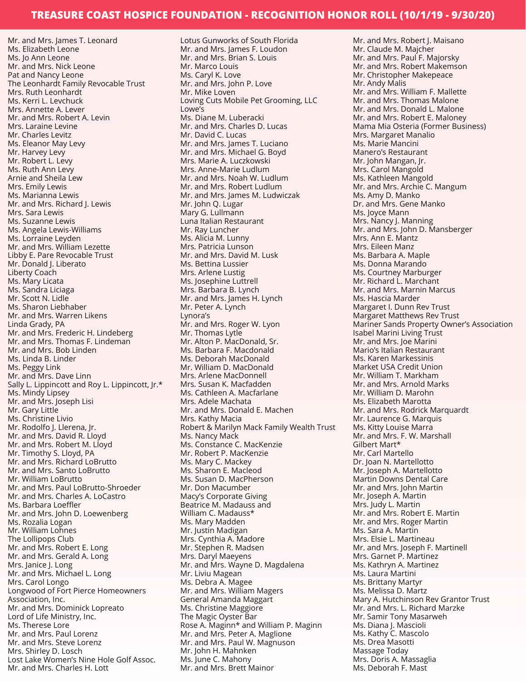Mr. and Mrs. James T. Leonard Ms. Elizabeth Leone Ms. Jo Ann Leone Mr. and Mrs. Nick Leone Pat and Nancy Leone The Leonhardt Family Revocable Trust Mrs. Ruth Leonhardt Ms. Kerri L. Levchuck Mrs. Annette A. Lever Mr. and Mrs. Robert A. Levin Mrs. Laraine Levine Mr. Charles Levitz Ms. Eleanor May Levy Mr. Harvey Levy Mr. Robert L. Levy Ms. Ruth Ann Levy Arnie and Sheila Lew Mrs. Emily Lewis Ms. Marianna Lewis Mr. and Mrs. Richard J. Lewis Mrs. Sara Lewis Ms. Suzanne Lewis Ms. Angela Lewis-Williams Ms. Lorraine Leyden Mr. and Mrs. William Lezette Libby E. Pare Revocable Trust Mr. Donald J. Liberato Liberty Coach Ms. Mary Licata Ms. Sandra Liciaga Mr. Scott N. Lidle Ms. Sharon Liebhaber Mr. and Mrs. Warren Likens Linda Grady, PA Mr. and Mrs. Frederic H. Lindeberg Mr. and Mrs. Thomas F. Lindeman Mr. and Mrs. Bob Linden Ms. Linda B. Linder Ms. Peggy Link Mr. and Mrs. Dave Linn Sally L. Lippincott and Roy L. Lippincott, Jr.\* Ms. Mindy Lipsey Mr. and Mrs. Joseph Lisi Mr. Gary Little Ms. Christine Livio Mr. Rodolfo J. Llerena, Jr. Mr. and Mrs. David R. Lloyd Mr. and Mrs. Robert M. Lloyd Mr. Timothy S. Lloyd, PA Mr. and Mrs. Richard LoBrutto Mr. and Mrs. Santo LoBrutto Mr. William LoBrutto Mr. and Mrs. Paul LoBrutto-Shroeder Mr. and Mrs. Charles A. LoCastro Ms. Barbara Loeffler Mr. and Mrs. John D. Loewenberg Ms. Rozalia Logan Mr. William Lohnes The Lollipops Club Mr. and Mrs. Robert E. Long Mr. and Mrs. Gerald A. Long Mrs. Janice J. Long Mr. and Mrs. Michael L. Long Mrs. Carol Longo Longwood of Fort Pierce Homeowners Association, Inc. Mr. and Mrs. Dominick Lopreato Lord of Life Ministry, Inc. Ms. Therese Lore Mr. and Mrs. Paul Lorenz Mr. and Mrs. Steve Lorenz Mrs. Shirley D. Losch Lost Lake Women's Nine Hole Golf Assoc.

Mr. and Mrs. Charles H. Lott

Lotus Gunworks of South Florida Mr. and Mrs. James F. Loudon Mr. and Mrs. Brian S. Louis Mr. Marco Louis Ms. Caryl K. Love Mr. and Mrs. John P. Love Mr. Mike Loven Loving Cuts Mobile Pet Grooming, LLC Lowe's Ms. Diane M. Luberacki Mr. and Mrs. Charles D. Lucas Mr. David C. Lucas Mr. and Mrs. James T. Luciano Mr. and Mrs. Michael G. Boyd Mrs. Marie A. Luczkowski Mrs. Anne-Marie Ludlum Mr. and Mrs. Noah W. Ludlum Mr. and Mrs. Robert Ludlum Mr. and Mrs. James M. Ludwiczak Mr. John Q. Lugar Mary G. Lullmann Luna Italian Restaurant Mr. Ray Luncher Ms. Alicia M. Lunny Mrs. Patricia Lunson Mr. and Mrs. David M. Lusk Ms. Bettina Lussier Mrs. Arlene Lustig Ms. Josephine Luttrell Mrs. Barbara B. Lynch Mr. and Mrs. James H. Lynch Mr. Peter A. Lynch Lynora's Mr. and Mrs. Roger W. Lyon Mr. Thomas Lytle Mr. Alton P. MacDonald, Sr. Ms. Barbara F. Macdonald Ms. Deborah MacDonald Mr. William D. MacDonald Mrs. Arlene MacDonnell Mrs. Susan K. Macfadden Ms. Cathleen A. Macfarlane Mrs. Adele Machata Mr. and Mrs. Donald E. Machen Mrs. Kathy Macia Robert & Marilyn Mack Family Wealth Trust Ms. Nancy Mack Ms. Constance C. MacKenzie Mr. Robert P. MacKenzie Ms. Mary C. Mackey Ms. Sharon E. Macleod Ms. Susan D. MacPherson Mr. Don Macumber Macy's Corporate Giving Beatrice M. Madauss and William C. Madauss\* Ms. Mary Madden Mr. Justin Madigan Mrs. Cynthia A. Madore Mr. Stephen R. Madsen Mrs. Daryl Maeyens Mr. and Mrs. Wayne D. Magdalena Mr. Liviu Magean Ms. Debra A. Magee Mr. and Mrs. William Magers General Amanda Maggart Ms. Christine Maggiore The Magic Oyster Bar Rose A. Maginn\* and William P. Maginn Mr. and Mrs. Peter A. Maglione Mr. and Mrs. Paul W. Magnuson Mr. John H. Mahnken Ms. June C. Mahony Mr. and Mrs. Brett Mainor

Mr. and Mrs. Robert J. Maisano Mr. Claude M. Majcher Mr. and Mrs. Paul F. Majorsky Mr. and Mrs. Robert Makemson Mr. Christopher Makepeace Mr. Andy Malis Mr. and Mrs. William F. Mallette Mr. and Mrs. Thomas Malone Mr. and Mrs. Donald L. Malone Mr. and Mrs. Robert E. Maloney Mama Mia Osteria (Former Business) Mrs. Margaret Manalio Ms. Marie Mancini Manero's Restaurant Mr. John Mangan, Jr. Mrs. Carol Mangold Ms. Kathleen Mangold Mr. and Mrs. Archie C. Mangum Ms. Amy D. Manko Dr. and Mrs. Gene Manko Ms. Joyce Mann Mrs. Nancy J. Manning Mr. and Mrs. John D. Mansberger Mrs. Ann E. Mantz Mrs. Eileen Manz Ms. Barbara A. Maple Ms. Donna Marando Ms. Courtney Marburger Mr. Richard L. Marchant Mr. and Mrs. Marnin Marcus Ms. Hascia Marder Margaret I. Dunn Rev Trust Margaret Matthews Rev Trust Mariner Sands Property Owner's Association Isabel Marini Living Trust Mr. and Mrs. Joe Marini Mario's Italian Restaurant Ms. Karen Markessinis Market USA Credit Union Mr. William T. Markham Mr. and Mrs. Arnold Marks Mr. William D. Marohn Ms. Elizabeth Marotta Mr. and Mrs. Rodrick Marquardt Mr. Laurence G. Marquis Ms. Kitty Louise Marra Mr. and Mrs. F. W. Marshall Gilbert Mart\* Mr. Carl Martello Dr. Joan N. Martellotto Mr. Joseph A. Martellotto Martin Downs Dental Care Mr. and Mrs. John Martin Mr. Joseph A. Martin Mrs. Judy L. Martin Mr. and Mrs. Robert E. Martin Mr. and Mrs. Roger Martin Ms. Sara A. Martin Mrs. Elsie L. Martineau Mr. and Mrs. Joseph F. Martinell Mrs. Garnet P. Martinez Ms. Kathryn A. Martinez Ms. Laura Martini Ms. Brittany Martyr Ms. Melissa D. Martz Mary A. Hutchinson Rev Grantor Trust Mr. and Mrs. L. Richard Marzke Mr. Samir Tony Masarweh Ms. Diana J. Mascioli Ms. Kathy C. Mascolo Ms. Drea Masotti Massage Today Mrs. Doris A. Massaglia Ms. Deborah F. Mast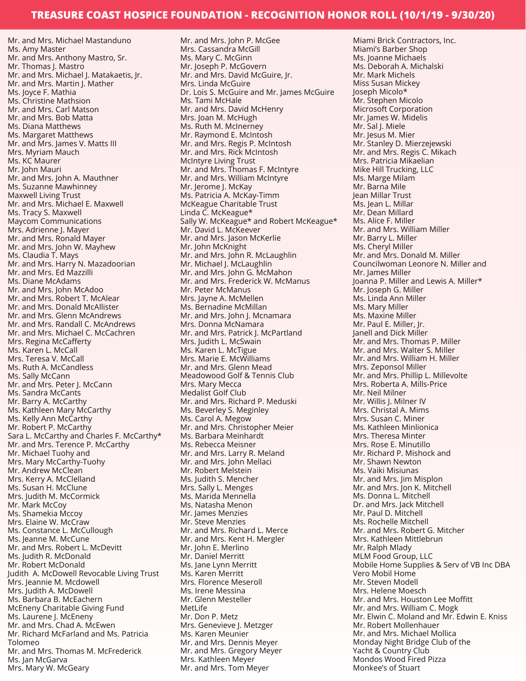Mr. and Mrs. Michael Mastanduno Ms. Amy Master Mr. and Mrs. Anthony Mastro, Sr. Mr. Thomas J. Mastro Mr. and Mrs. Michael J. Matakaetis, Jr. Mr. and Mrs. Martin J. Mather Ms. Joyce F. Mathia Ms. Christine Mathsion Mr. and Mrs. Carl Matson Mr. and Mrs. Bob Matta Ms. Diana Matthews Ms. Margaret Matthews Mr. and Mrs. James V. Matts III Mrs. Myriam Mauch Ms. KC Maurer Mr. John Mauri Mr. and Mrs. John A. Mauthner Ms. Suzanne Mawhinney Maxwell Living Trust Mr. and Mrs. Michael E. Maxwell Ms. Tracy S. Maxwell Maycom Communications Mrs. Adrienne J. Mayer Mr. and Mrs. Ronald Mayer Mr. and Mrs. John W. Mayhew Ms. Claudia T. Mays Mr. and Mrs. Harry N. Mazadoorian Mr. and Mrs. Ed Mazzilli Ms. Diane McAdams Mr. and Mrs. John McAdoo Mr. and Mrs. Robert T. McAlear Mr. and Mrs. Donald McAllister Mr. and Mrs. Glenn McAndrews Mr. and Mrs. Randall C. McAndrews Mr. and Mrs. Michael C. McCachren Mrs. Regina McCafferty Ms. Karen L. McCall Mrs. Teresa V. McCall Ms. Ruth A. McCandless Ms. Sally McCann Mr. and Mrs. Peter J. McCann Ms. Sandra McCants Mr. Barry A. McCarthy Ms. Kathleen Mary McCarthy Ms. Kelly Ann McCarthy Mr. Robert P. McCarthy Sara L. McCarthy and Charles F. McCarthy\* Mr. and Mrs. Terence P. McCarthy Mr. Michael Tuohy and Mrs. Mary McCarthy-Tuohy Mr. Andrew McClean Mrs. Kerry A. McClelland Ms. Susan H. McClune Mrs. Judith M. McCormick Mr. Mark McCoy Ms. Shamekia Mccoy Mrs. Elaine W. McCraw Ms. Constance L. McCullough Ms. Jeanne M. McCune Mr. and Mrs. Robert L. McDevitt Ms. Judith R. McDonald Mr. Robert McDonald Judith A. McDowell Revocable Living Trust Mrs. Jeannie M. Mcdowell Mrs. Judith A. McDowell Ms. Barbara B. McEachern McEneny Charitable Giving Fund Ms. Laurene J. McEneny Mr. and Mrs. Chad A. McEwen Mr. Richard McFarland and Ms. Patricia Tolomeo Mr. and Mrs. Thomas M. McFrederick Ms. Jan McGarva Mrs. Mary W. McGeary

Mr. and Mrs. John P. McGee Mrs. Cassandra McGill Ms. Mary C. McGinn Mr. Joseph P. McGovern Mr. and Mrs. David McGuire, Jr. Mrs. Linda McGuire Dr. Lois S. McGuire and Mr. James McGuire Ms. Tami McHale Mr. and Mrs. David McHenry Mrs. Joan M. McHugh Ms. Ruth M. McInerney Mr. Raymond E. McIntosh Mr. and Mrs. Regis P. McIntosh Mr. and Mrs. Rick McIntosh McIntyre Living Trust Mr. and Mrs. Thomas F. McIntyre Mr. and Mrs. William McIntyre Mr. Jerome J. McKay Ms. Patricia A. McKay-Timm McKeague Charitable Trust Linda C. McKeague\* Sally W. McKeague\* and Robert McKeague\* Mr. David L. McKeever Mr. and Mrs. Jason McKerlie Mr. John McKnight Mr. and Mrs. John R. McLaughlin Mr. Michael J. McLaughlin Mr. and Mrs. John G. McMahon Mr. and Mrs. Frederick W. McManus Mr. Peter McManus Mrs. Jayne A. McMellen Ms. Bernadine McMillan Mr. and Mrs. John J. Mcnamara Mrs. Donna McNamara Mr. and Mrs. Patrick J. McPartland Mrs. Judith L. McSwain Ms. Karen L. McTigue Mrs. Marie E. McWilliams Mr. and Mrs. Glenn Mead Meadowood Golf & Tennis Club Mrs. Mary Mecca Medalist Golf Club Mr. and Mrs. Richard P. Meduski Ms. Beverley S. Meginley Ms. Carol A. Megow Mr. and Mrs. Christopher Meier Ms. Barbara Meinhardt Ms. Rebecca Meisner Mr. and Mrs. Larry R. Meland Mr. and Mrs. John Mellaci Mr. Robert Melstein Ms. Judith S. Mencher Mrs. Sally L. Menges Ms. Marida Mennella Ms. Natasha Menon Mr. James Menzies Mr. Steve Menzies Mr. and Mrs. Richard L. Merce Mr. and Mrs. Kent H. Mergler Mr. John E. Merlino Mr. Daniel Merritt Ms. Jane Lynn Merritt Ms. Karen Merritt Mrs. Florence Meseroll Ms. Irene Messina Mr. Glenn Mesteller MetLife Mr. Don P. Metz Mrs. Genevieve J. Metzger Ms. Karen Meunier Mr. and Mrs. Dennis Meyer Mr. and Mrs. Gregory Meyer Mrs. Kathleen Meyer Mr. and Mrs. Tom Meyer

Miami Brick Contractors, Inc. Miami's Barber Shop Ms. Joanne Michaels Ms. Deborah A. Michalski Mr. Mark Michels Miss Susan Mickey Joseph Micolo\* Mr. Stephen Micolo Microsoft Corporation Mr. James W. Midelis Mr. Sal J. Miele Mr. Jesus M. Mier Mr. Stanley D. Mierzejewski Mr. and Mrs. Regis C. Mikach Mrs. Patricia Mikaelian Mike Hill Trucking, LLC Ms. Marge Milam Mr. Barna Mile Jean Millar Trust Ms. Jean L. Millar Mr. Dean Millard Ms. Alice F. Miller Mr. and Mrs. William Miller Mr. Barry L. Miller Ms. Cheryl Miller Mr. and Mrs. Donald M. Miller Councilwoman Leonore N. Miller and Mr. James Miller Joanna P. Miller and Lewis A. Miller\* Mr. Joseph G. Miller Ms. Linda Ann Miller Ms. Mary Miller Ms. Maxine Miller Mr. Paul E. Miller, Jr. Janell and Dick Miller Mr. and Mrs. Thomas P. Miller Mr. and Mrs. Walter S. Miller Mr. and Mrs. William H. Miller Mrs. Zeponsol Miller Mr. and Mrs. Phillip L. Millevolte Mrs. Roberta A. Mills-Price Mr. Neil Milner Mr. Willis J. Milner IV Mrs. Christal A. Mims Mrs. Susan C. Miner Ms. Kathleen Minlionica Mrs. Theresa Minter Mrs. Rose E. Minutillo Mr. Richard P. Mishock and Mr. Shawn Newton Ms. Vaiki Misiunas Mr. and Mrs. Jim Misplon Mr. and Mrs. Jon K. Mitchell Ms. Donna L. Mitchell Dr. and Mrs. Jack Mitchell Mr. Paul D. Mitchell Ms. Rochelle Mitchell Mr. and Mrs. Robert G. Mitcher Mrs. Kathleen Mittlebrun Mr. Ralph Mlady MLM Food Group, LLC Mobile Home Supplies & Serv of VB Inc DBA Vero Mobil Home Mr. Steven Modell Mrs. Helene Moesch Mr. and Mrs. Houston Lee Moffitt Mr. and Mrs. William C. Mogk Mr. Elwin C. Moland and Mr. Edwin E. Kniss Mr. Robert Mollenhauer Mr. and Mrs. Michael Mollica Monday Night Bridge Club of the Yacht & Country Club Mondos Wood Fired Pizza Monkee's of Stuart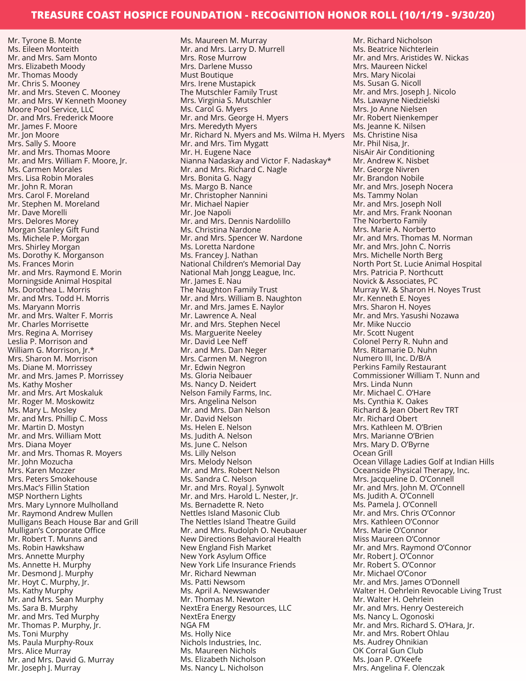Mr. Tyrone B. Monte Ms. Eileen Monteith Mr. and Mrs. Sam Monto Mrs. Elizabeth Moody Mr. Thomas Moody Mr. Chris S. Mooney Mr. and Mrs. Steven C. Mooney Mr. and Mrs. W Kenneth Mooney Moore Pool Service, LLC Dr. and Mrs. Frederick Moore Mr. James F. Moore Mr. Jon Moore Mrs. Sally S. Moore Mr. and Mrs. Thomas Moore Mr. and Mrs. William F. Moore, Jr. Ms. Carmen Morales Mrs. Lisa Robin Morales Mr. John R. Moran Mrs. Carol F. Moreland Mr. Stephen M. Moreland Mr. Dave Morelli Mrs. Delores Morey Morgan Stanley Gift Fund Ms. Michele P. Morgan Mrs. Shirley Morgan Ms. Dorothy K. Morganson Ms. Frances Morin Mr. and Mrs. Raymond E. Morin Morningside Animal Hospital Ms. Dorothea L. Morris Mr. and Mrs. Todd H. Morris Ms. Maryann Morris Mr. and Mrs. Walter F. Morris Mr. Charles Morrisette Mrs. Regina A. Morrisey Leslia P. Morrison and William G. Morrison, Jr.\* Mrs. Sharon M. Morrison Ms. Diane M. Morrissey Mr. and Mrs. James P. Morrissey Ms. Kathy Mosher Mr. and Mrs. Art Moskaluk Mr. Roger M. Moskowitz Ms. Mary L. Mosley Mr. and Mrs. Phillip C. Moss Mr. Martin D. Mostyn Mr. and Mrs. William Mott Mrs. Diana Moyer Mr. and Mrs. Thomas R. Moyers Mr. John Mozucha Mrs. Karen Mozzer Mrs. Peters Smokehouse Mrs.Mac's Fillin Station MSP Northern Lights Mrs. Mary Lynnore Mulholland Mr. Raymond Andrew Mullen Mulligans Beach House Bar and Grill Mulligan's Corporate Office Mr. Robert T. Munns and Ms. Robin Hawkshaw Mrs. Annette Murphy Ms. Annette H. Murphy Mr. Desmond J. Murphy Mr. Hoyt C. Murphy, Jr. Ms. Kathy Murphy Mr. and Mrs. Sean Murphy Ms. Sara B. Murphy Mr. and Mrs. Ted Murphy Mr. Thomas P. Murphy, Jr. Ms. Toni Murphy Ms. Paula Murphy-Roux Mrs. Alice Murray Mr. and Mrs. David G. Murray Mr. Joseph J. Murray

Ms. Maureen M. Murray Mr. and Mrs. Larry D. Murrell Mrs. Rose Murrow Mrs. Darlene Musso Must Boutique Mrs. Irene Mustapick The Mutschler Family Trust Mrs. Virginia S. Mutschler Ms. Carol G. Myers Mr. and Mrs. George H. Myers Mrs. Meredyth Myers Mr. Richard N. Myers and Ms. Wilma H. Myers Mr. and Mrs. Tim Mygatt Mr. H. Eugene Nace Nianna Nadaskay and Victor F. Nadaskay\* Mr. and Mrs. Richard C. Nagle Mrs. Bonita G. Nagy Ms. Margo B. Nance Mr. Christopher Nannini Mr. Michael Napier Mr. Joe Napoli Mr. and Mrs. Dennis Nardolillo Ms. Christina Nardone Mr. and Mrs. Spencer W. Nardone Ms. Loretta Nardone Ms. Francey J. Nathan National Children's Memorial Day National Mah Jongg League, Inc. Mr. James E. Nau The Naughton Family Trust Mr. and Mrs. William B. Naughton Mr. and Mrs. James E. Naylor Mr. Lawrence A. Neal Mr. and Mrs. Stephen Necel Ms. Marguerite Neeley Mr. David Lee Neff Mr. and Mrs. Dan Neger Mrs. Carmen M. Negron Mr. Edwin Negron Ms. Gloria Neibauer Ms. Nancy D. Neidert Nelson Family Farms, Inc. Mrs. Angelina Nelson Mr. and Mrs. Dan Nelson Mr. David Nelson Ms. Helen E. Nelson Ms. Judith A. Nelson Ms. June C. Nelson Ms. Lilly Nelson Mrs. Melody Nelson Mr. and Mrs. Robert Nelson Ms. Sandra C. Nelson Mr. and Mrs. Royal J. Synwolt Mr. and Mrs. Harold L. Nester, Jr. Ms. Bernadette R. Neto Nettles Island Masonic Club The Nettles Island Theatre Guild Mr. and Mrs. Rudolph O. Neubauer New Directions Behavioral Health New England Fish Market New York Asylum Office New York Life Insurance Friends Mr. Richard Newman Ms. Patti Newsom Ms. April A. Newswander Mr. Thomas M. Newton NextEra Energy Resources, LLC NextEra Energy NGA FM Ms. Holly Nice Nichols Industries, Inc. Ms. Maureen Nichols Ms. Elizabeth Nicholson Ms. Nancy L. Nicholson

Mr. Richard Nicholson Ms. Beatrice Nichterlein Mr. and Mrs. Aristides W. Nickas Mrs. Maureen Nickel Mrs. Mary Nicolai Ms. Susan G. Nicoll Mr. and Mrs. Joseph J. Nicolo Ms. Lawayne Niedzielski Mrs. Jo Anne Nielsen Mr. Robert Nienkemper Ms. Jeanne K. Nilsen Ms. Christine Nisa Mr. Phil Nisa, Jr. NisAir Air Conditioning Mr. Andrew K. Nisbet Mr. George Nivren Mr. Brandon Nobile Mr. and Mrs. Joseph Nocera Ms. Tammy Nolan Mr. and Mrs. Joseph Noll Mr. and Mrs. Frank Noonan The Norberto Family Mrs. Marie A. Norberto Mr. and Mrs. Thomas M. Norman Mr. and Mrs. John C. Norris Mrs. Michelle North Berg North Port St. Lucie Animal Hospital Mrs. Patricia P. Northcutt Novick & Associates, PC Murray W. & Sharon H. Noyes Trust Mr. Kenneth E. Noyes Mrs. Sharon H. Noyes Mr. and Mrs. Yasushi Nozawa Mr. Mike Nuccio Mr. Scott Nugent Colonel Perry R. Nuhn and Mrs. Ritamarie D. Nuhn Numero III, Inc. D/B/A Perkins Family Restaurant Commissioner William T. Nunn and Mrs. Linda Nunn Mr. Michael C. O'Hare Ms. Cynthia K. Oakes Richard & Jean Obert Rev TRT Mr. Richard Obert Mrs. Kathleen M. O'Brien Mrs. Marianne O'Brien Mrs. Mary D. O'Byrne Ocean Grill Ocean Village Ladies Golf at Indian Hills Oceanside Physical Therapy, Inc. Mrs. Jacqueline D. O'Connell Mr. and Mrs. John M. O'Connell Ms. Judith A. O'Connell Ms. Pamela J. O'Connell Mr. and Mrs. Chris O'Connor Mrs. Kathleen O'Connor Mrs. Marie O'Connor Miss Maureen O'Connor Mr. and Mrs. Raymond O'Connor Mr. Robert I. O'Connor Mr. Robert S. O'Connor Mr. Michael O'Conor Mr. and Mrs. James O'Donnell Walter H. Oehrlein Revocable Living Trust Mr. Walter H. Oehrlein Mr. and Mrs. Henry Oestereich Ms. Nancy L. Ogonoski Mr. and Mrs. Richard S. O'Hara, Jr. Mr. and Mrs. Robert Ohlau Ms. Audrey Ohnikian OK Corral Gun Club Ms. Joan P. O'Keefe Mrs. Angelina F. Olenczak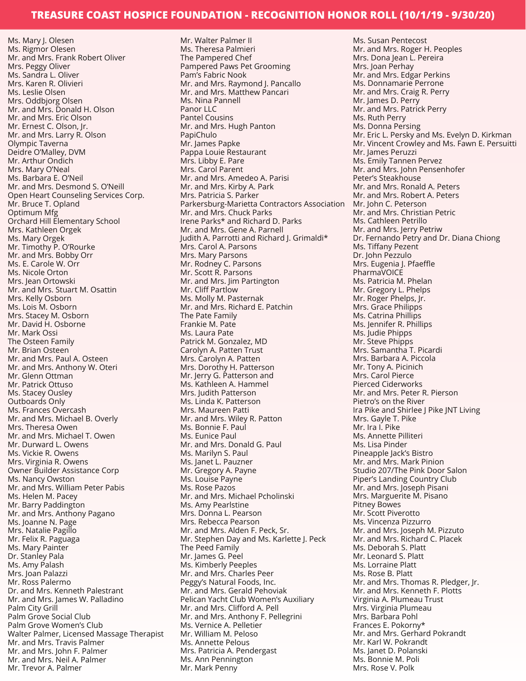Ms. Mary J. Olesen Ms. Rigmor Olesen Mr. and Mrs. Frank Robert Oliver Mrs. Peggy Oliver Ms. Sandra L. Oliver Mrs. Karen R. Olivieri Ms. Leslie Olsen Mrs. Oddbjorg Olsen Mr. and Mrs. Donald H. Olson Mr. and Mrs. Eric Olson Mr. Ernest C. Olson, Jr. Mr. and Mrs. Larry R. Olson Olympic Taverna Deidre O'Malley, DVM Mr. Arthur Ondich Mrs. Mary O'Neal Ms. Barbara E. O'Neil Mr. and Mrs. Desmond S. O'Neill Open Heart Counseling Services Corp. Mr. Bruce T. Opland Optimum Mfg Orchard Hill Elementary School Mrs. Kathleen Orgek Ms. Mary Orgek Mr. Timothy P. O'Rourke Mr. and Mrs. Bobby Orr Ms. E. Carole W. Orr Ms. Nicole Orton Mrs. Jean Ortowski Mr. and Mrs. Stuart M. Osattin Mrs. Kelly Osborn Ms. Lois M. Osborn Mrs. Stacey M. Osborn Mr. David H. Osborne Mr. Mark Ossi The Osteen Family Mr. Brian Osteen Mr. and Mrs. Paul A. Osteen Mr. and Mrs. Anthony W. Oteri Mr. Glenn Ottman Mr. Patrick Ottuso Ms. Stacey Ousley Outboards Only Ms. Frances Overcash Mr. and Mrs. Michael B. Overly Mrs. Theresa Owen Mr. and Mrs. Michael T. Owen Mr. Durward L. Owens Ms. Vickie R. Owens Mrs. Virginia R. Owens Owner Builder Assistance Corp Ms. Nancy Owston Mr. and Mrs. William Peter Pabis Ms. Helen M. Pacey Mr. Barry Paddington Mr. and Mrs. Anthony Pagano Ms. Joanne N. Page Mrs. Natalie Pagillo Mr. Felix R. Paguaga Ms. Mary Painter Dr. Stanley Pala Ms. Amy Palash Mrs. Joan Palazzi Mr. Ross Palermo Dr. and Mrs. Kenneth Palestrant Mr. and Mrs. James W. Palladino Palm City Grill Palm Grove Social Club Palm Grove Women's Club Walter Palmer, Licensed Massage Therapist Mr. and Mrs. Travis Palmer Mr. and Mrs. John F. Palmer Mr. and Mrs. Neil A. Palmer Mr. Trevor A. Palmer

Mr. Walter Palmer II Ms. Theresa Palmieri The Pampered Chef Pampered Paws Pet Grooming Pam's Fabric Nook Mr. and Mrs. Raymond J. Pancallo Mr. and Mrs. Matthew Pancari Ms. Nina Pannell Panor LLC Pantel Cousins Mr. and Mrs. Hugh Panton PapiChulo Mr. James Papke Pappa Louie Restaurant Mrs. Libby E. Pare Mrs. Carol Parent Mr. and Mrs. Amedeo A. Parisi Mr. and Mrs. Kirby A. Park Mrs. Patricia S. Parker Parkersburg-Marietta Contractors Association Mr. and Mrs. Chuck Parks Irene Parks\* and Richard D. Parks Mr. and Mrs. Gene A. Parnell Judith A. Parrotti and Richard J. Grimaldi\* Mrs. Carol A. Parsons Mrs. Mary Parsons Mr. Rodney C. Parsons Mr. Scott R. Parsons Mr. and Mrs. Jim Partington Mr. Cliff Partlow Ms. Molly M. Pasternak Mr. and Mrs. Richard E. Patchin The Pate Family Frankie M. Pate Ms. Laura Pate Patrick M. Gonzalez, MD Carolyn A. Patten Trust Mrs. Carolyn A. Patten Mrs. Dorothy H. Patterson Mr. Jerry G. Patterson and Ms. Kathleen A. Hammel Mrs. Judith Patterson Ms. Linda K. Patterson Mrs. Maureen Patti Mr. and Mrs. Wiley R. Patton Ms. Bonnie F. Paul Ms. Eunice Paul Mr. and Mrs. Donald G. Paul Ms. Marilyn S. Paul Ms. Janet L. Pauzner Mr. Gregory A. Payne Ms. Louise Payne Ms. Rose Pazos Mr. and Mrs. Michael Pcholinski Ms. Amy Pearlstine Mrs. Donna L. Pearson Mrs. Rebecca Pearson Mr. and Mrs. Alden F. Peck, Sr. Mr. Stephen Day and Ms. Karlette J. Peck The Peed Family Mr. James G. Peel Ms. Kimberly Peeples Mr. and Mrs. Charles Peer Peggy's Natural Foods, Inc. Mr. and Mrs. Gerald Pehoviak Pelican Yacht Club Women's Auxiliary Mr. and Mrs. Clifford A. Pell Mr. and Mrs. Anthony F. Pellegrini Ms. Vernice A. Pelletier Mr. William M. Peloso Ms. Annette Pelous Mrs. Patricia A. Pendergast Ms. Ann Pennington Mr. Mark Penny

Ms. Susan Pentecost Mr. and Mrs. Roger H. Peoples Mrs. Dona Jean L. Pereira Mrs. Joan Perhay Mr. and Mrs. Edgar Perkins Ms. Donnamarie Perrone Mr. and Mrs. Craig R. Perry Mr. James D. Perry Mr. and Mrs. Patrick Perry Ms. Ruth Perry Ms. Donna Persing Mr. Eric L. Persky and Ms. Evelyn D. Kirkman Mr. Vincent Crowley and Ms. Fawn E. Persuitti Mr. James Peruzzi Ms. Emily Tannen Pervez Mr. and Mrs. John Pensenhofer Peter's Steakhouse Mr. and Mrs. Ronald A. Peters Mr. and Mrs. Robert A. Peters Mr. John C. Peterson Mr. and Mrs. Christian Petric Ms. Cathleen Petrillo Mr. and Mrs. Jerry Petriw Dr. Fernando Petry and Dr. Diana Chiong Ms. Tiffany Pezent Dr. John Pezzulo Mrs. Eugenia J. Pfaeffle PharmaVOICE Ms. Patricia M. Phelan Mr. Gregory L. Phelps Mr. Roger Phelps, Jr. Mrs. Grace Philipps Ms. Catrina Phillips Ms. Jennifer R. Phillips Ms. Judie Phipps Mr. Steve Phipps Mrs. Samantha T. Picardi Mrs. Barbara A. Piccola Mr. Tony A. Picinich Mrs. Carol Pierce Pierced Ciderworks Mr. and Mrs. Peter R. Pierson Pietro's on the River Ira Pike and Shirlee J Pike JNT Living Mrs. Gayle T. Pike Mr. Ira I. Pike Ms. Annette Pilliteri Ms. Lisa Pinder Pineapple Jack's Bistro Mr. and Mrs. Mark Pinion Studio 207/The Pink Door Salon Piper's Landing Country Club Mr. and Mrs. Joseph Pisani Mrs. Marguerite M. Pisano Pitney Bowes Mr. Scott Piverotto Ms. Vincenza Pizzurro Mr. and Mrs. Joseph M. Pizzuto Mr. and Mrs. Richard C. Placek Ms. Deborah S. Platt Mr. Leonard S. Platt Ms. Lorraine Platt Ms. Rose B. Platt Mr. and Mrs. Thomas R. Pledger, Jr. Mr. and Mrs. Kenneth F. Plotts Virginia A. Plumeau Trust Mrs. Virginia Plumeau Mrs. Barbara Pohl Frances E. Pokorny\* Mr. and Mrs. Gerhard Pokrandt Mr. Karl W. Pokrandt Ms. Janet D. Polanski Ms. Bonnie M. Poli Mrs. Rose V. Polk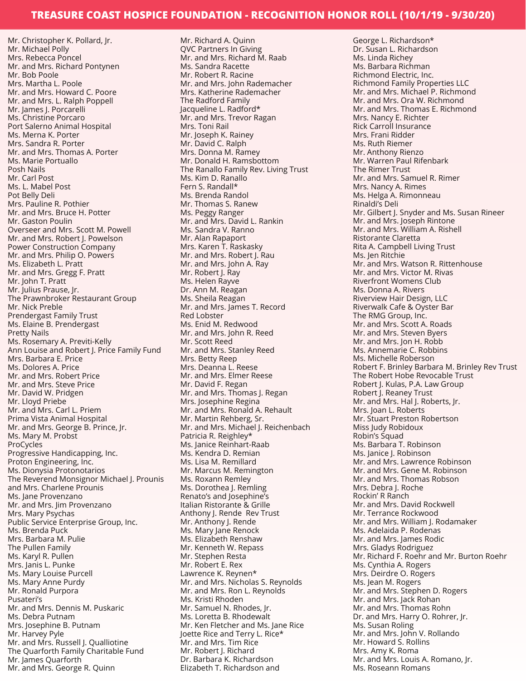Mr. Christopher K. Pollard, Jr. Mr. Michael Polly Mrs. Rebecca Poncel Mr. and Mrs. Richard Pontynen Mr. Bob Poole Mrs. Martha L. Poole Mr. and Mrs. Howard C. Poore Mr. and Mrs. L. Ralph Poppell Mr. James J. Porcarelli Ms. Christine Porcaro Port Salerno Animal Hospital Ms. Merna K. Porter Mrs. Sandra R. Porter Mr. and Mrs. Thomas A. Porter Ms. Marie Portuallo Posh Nails Mr. Carl Post Ms. L. Mabel Post Pot Belly Deli Mrs. Pauline R. Pothier Mr. and Mrs. Bruce H. Potter Mr. Gaston Poulin Overseer and Mrs. Scott M. Powell Mr. and Mrs. Robert J. Powelson Power Construction Company Mr. and Mrs. Philip O. Powers Ms. Elizabeth L. Pratt Mr. and Mrs. Gregg F. Pratt Mr. John T. Pratt Mr. Julius Prause, Jr. The Prawnbroker Restaurant Group Mr. Nick Preble Prendergast Family Trust Ms. Elaine B. Prendergast Pretty Nails Ms. Rosemary A. Previti-Kelly Ann Louise and Robert J. Price Family Fund Mrs. Barbara E. Price Ms. Dolores A. Price Mr. and Mrs. Robert Price Mr. and Mrs. Steve Price Mr. David W. Pridgen Mr. Lloyd Priebe Mr. and Mrs. Carl L. Priem Prima Vista Animal Hospital Mr. and Mrs. George B. Prince, Jr. Ms. Mary M. Probst ProCycles Progressive Handicapping, Inc. Proton Engineering, Inc. Ms. Dionysia Protonotarios The Reverend Monsignor Michael J. Prounis and Mrs. Charlene Prounis Ms. Jane Provenzano Mr. and Mrs. Jim Provenzano Mrs. Mary Psychas Public Service Enterprise Group, Inc. Ms. Brenda Puck Mrs. Barbara M. Pulie The Pullen Family Ms. Karyl R. Pullen Mrs. Janis L. Punke Ms. Mary Louise Purcell Ms. Mary Anne Purdy Mr. Ronald Purpora Pusateri's Mr. and Mrs. Dennis M. Puskaric Ms. Debra Putnam Mrs. Josephine B. Putnam Mr. Harvey Pyle Mr. and Mrs. Russell J. Qualliotine The Quarforth Family Charitable Fund Mr. James Quarforth Mr. and Mrs. George R. Quinn

Mr. Richard A. Quinn QVC Partners In Giving Mr. and Mrs. Richard M. Raab Ms. Sandra Racette Mr. Robert R. Racine Mr. and Mrs. John Rademacher Mrs. Katherine Rademacher The Radford Family Jacqueline L. Radford\* Mr. and Mrs. Trevor Ragan Mrs. Toni Rail Mr. Joseph K. Rainey Mr. David C. Ralph Mrs. Donna M. Ramey Mr. Donald H. Ramsbottom The Ranallo Family Rev. Living Trust Ms. Kim D. Ranallo Fern S. Randall\* Ms. Brenda Randol Mr. Thomas S. Ranew Ms. Peggy Ranger Mr. and Mrs. David L. Rankin Ms. Sandra V. Ranno Mr. Alan Rapaport Mrs. Karen T. Raskasky Mr. and Mrs. Robert J. Rau Mr. and Mrs. John A. Ray Mr. Robert J. Ray Ms. Helen Rayve Dr. Ann M. Reagan Ms. Sheila Reagan Mr. and Mrs. James T. Record Red Lobster Ms. Enid M. Redwood Mr. and Mrs. John R. Reed Mr. Scott Reed Mr. and Mrs. Stanley Reed Mrs. Betty Reep Mrs. Deanna L. Reese Mr. and Mrs. Elmer Reese Mr. David F. Regan Mr. and Mrs. Thomas J. Regan Mrs. Josephine Regina Mr. and Mrs. Ronald A. Rehault Mr. Martin Rehberg, Sr. Mr. and Mrs. Michael J. Reichenbach Patricia R. Reighley\* Ms. Janice Reinhart-Raab Ms. Kendra D. Remian Ms. Lisa M. Remillard Mr. Marcus M. Remington Ms. Roxann Remley Ms. Dorothea J. Remling Renato's and Josephine's Italian Ristorante & Grille Anthony J. Rende Rev Trust Mr. Anthony J. Rende Ms. Mary Jane Renock Ms. Elizabeth Renshaw Mr. Kenneth W. Repass Mr. Stephen Resta Mr. Robert E. Rex Lawrence K. Reynen\* Mr. and Mrs. Nicholas S. Reynolds Mr. and Mrs. Ron L. Reynolds Ms. Kristi Rhoden Mr. Samuel N. Rhodes, Jr. Ms. Loretta B. Rhodewalt Mr. Ken Fletcher and Ms. Jane Rice Joette Rice and Terry L. Rice\* Mr. and Mrs. Tim Rice Mr. Robert J. Richard Dr. Barbara K. Richardson Elizabeth T. Richardson and

George L. Richardson\* Dr. Susan L. Richardson Ms. Linda Richey Ms. Barbara Richman Richmond Electric, Inc. Richmond Family Properties LLC Mr. and Mrs. Michael P. Richmond Mr. and Mrs. Ora W. Richmond Mr. and Mrs. Thomas E. Richmond Mrs. Nancy E. Richter Rick Carroll Insurance Mrs. Frani Ridder Ms. Ruth Riemer Mr. Anthony Rienzo Mr. Warren Paul Rifenbark The Rimer Trust Mr. and Mrs. Samuel R. Rimer Mrs. Nancy A. Rimes Ms. Helga A. Rimonneau Rinaldi's Deli Mr. Gilbert J. Snyder and Ms. Susan Rineer Mr. and Mrs. Joseph Rintone Mr. and Mrs. William A. Rishell Ristorante Claretta Rita A. Campbell Living Trust Ms. Jen Ritchie Mr. and Mrs. Watson R. Rittenhouse Mr. and Mrs. Victor M. Rivas Riverfront Womens Club Ms. Donna A. Rivers Riverview Hair Design, LLC Riverwalk Cafe & Oyster Bar The RMG Group, Inc. Mr. and Mrs. Scott A. Roads Mr. and Mrs. Steven Byers Mr. and Mrs. Jon H. Robb Ms. Annemarie C. Robbins Ms. Michelle Roberson Robert F. Brinley Barbara M. Brinley Rev Trust The Robert Hobe Revocable Trust Robert J. Kulas, P.A. Law Group Robert J. Reaney Trust Mr. and Mrs. Hal J. Roberts, Jr. Mrs. Joan L. Roberts Mr. Stuart Preston Robertson Miss Judy Robidoux Robin's Squad Ms. Barbara T. Robinson Ms. Janice J. Robinson Mr. and Mrs. Lawrence Robinson Mr. and Mrs. Gene M. Robinson Mr. and Mrs. Thomas Robson Mrs. Debra J. Roche Rockin' R Ranch Mr. and Mrs. David Rockwell Mr. Terrance Rockwood Mr. and Mrs. William J. Rodamaker Ms. Adelaida P. Rodenas Mr. and Mrs. James Rodic Mrs. Gladys Rodriguez Mr. Richard F. Roehr and Mr. Burton Roehr Ms. Cynthia A. Rogers Mrs. Deirdre O. Rogers Ms. Jean M. Rogers Mr. and Mrs. Stephen D. Rogers Mr. and Mrs. Jack Rohan Mr. and Mrs. Thomas Rohn Dr. and Mrs. Harry O. Rohrer, Jr. Ms. Susan Roling Mr. and Mrs. John V. Rollando Mr. Howard S. Rollins Mrs. Amy K. Roma Mr. and Mrs. Louis A. Romano, Jr. Ms. Roseann Romans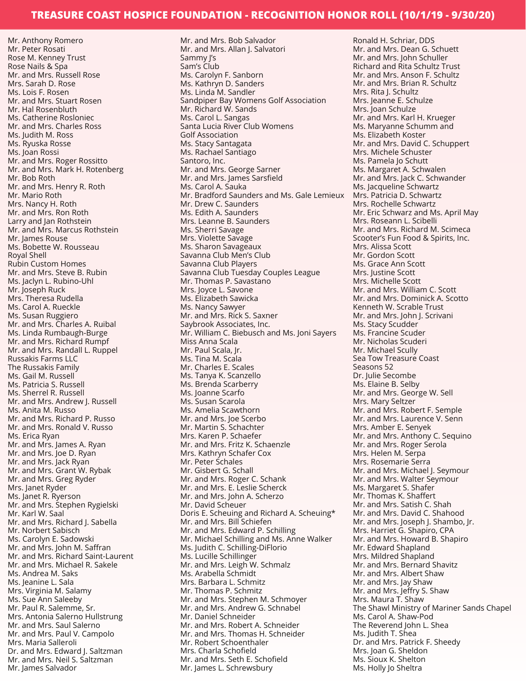Mr. Anthony Romero Mr. Peter Rosati Rose M. Kenney Trust Rose Nails & Spa Mr. and Mrs. Russell Rose Mrs. Sarah D. Rose Ms. Lois F. Rosen Mr. and Mrs. Stuart Rosen Mr. Hal Rosenbluth Ms. Catherine Rosloniec Mr. and Mrs. Charles Ross Ms. Judith M. Ross Ms. Ryuska Rosse Ms. Joan Rossi Mr. and Mrs. Roger Rossitto Mr. and Mrs. Mark H. Rotenberg Mr. Bob Roth Mr. and Mrs. Henry R. Roth Mr. Mario Roth Mrs. Nancy H. Roth Mr. and Mrs. Ron Roth Larry and Jan Rothstein Mr. and Mrs. Marcus Rothstein Mr. James Rouse Ms. Bobette W. Rousseau Royal Shell Rubin Custom Homes Mr. and Mrs. Steve B. Rubin Ms. Jaclyn L. Rubino-Uhl Mr. Joseph Ruck Mrs. Theresa Rudella Ms. Carol A. Rueckle Ms. Susan Ruggiero Mr. and Mrs. Charles A. Ruibal Ms. Linda Rumbaugh-Burge Mr. and Mrs. Richard Rumpf Mr. and Mrs. Randall L. Ruppel Russakis Farms LLC The Russakis Family Ms. Gail M. Russell Ms. Patricia S. Russell Ms. Sherrel R. Russell Mr. and Mrs. Andrew J. Russell Ms. Anita M. Russo Mr. and Mrs. Richard P. Russo Mr. and Mrs. Ronald V. Russo Ms. Erica Ryan Mr. and Mrs. James A. Ryan Mr. and Mrs. Joe D. Ryan Mr. and Mrs. Jack Ryan Mr. and Mrs. Grant W. Rybak Mr. and Mrs. Greg Ryder Mrs. Janet Ryder Ms. Janet R. Ryerson Mr. and Mrs. Stephen Rygielski Mr. Karl W. Saal Mr. and Mrs. Richard J. Sabella Mr. Norbert Sabisch Ms. Carolyn E. Sadowski Mr. and Mrs. John M. Saffran Mr. and Mrs. Richard Saint-Laurent Mr. and Mrs. Michael R. Sakele Ms. Andrea M. Saks Ms. Jeanine L. Sala Mrs. Virginia M. Salamy Ms. Sue Ann Saleeby Mr. Paul R. Salemme, Sr. Mrs. Antonia Salerno Hullstrung Mr. and Mrs. Saul Salerno Mr. and Mrs. Paul V. Campolo Mrs. Maria Salleroli Dr. and Mrs. Edward J. Saltzman Mr. and Mrs. Neil S. Saltzman Mr. James Salvador

Mr. and Mrs. Bob Salvador Mr. and Mrs. Allan J. Salvatori Sammy J's Sam's Club Ms. Carolyn F. Sanborn Ms. Kathryn D. Sanders Ms. Linda M. Sandler Sandpiper Bay Womens Golf Association Mr. Richard W. Sands Ms. Carol L. Sangas Santa Lucia River Club Womens Golf Association Ms. Stacy Santagata Ms. Rachael Santiago Santoro, Inc. Mr. and Mrs. George Sarner Mr. and Mrs. James Sarsfield Ms. Carol A. Sauka Mr. Bradford Saunders and Ms. Gale Lemieux Mr. Drew C. Saunders Ms. Edith A. Saunders Mrs. Leanne B. Saunders Ms. Sherri Savage Mrs. Violette Savage Ms. Sharon Savageaux Savanna Club Men's Club Savanna Club Players Savanna Club Tuesday Couples League Mr. Thomas P. Savastano Mrs. Joyce L. Savone Ms. Elizabeth Sawicka Ms. Nancy Sawyer Mr. and Mrs. Rick S. Saxner Saybrook Associates, Inc. Mr. William C. Biebusch and Ms. Joni Sayers Miss Anna Scala Mr. Paul Scala, Jr. Ms. Tina M. Scala Mr. Charles E. Scales Ms. Tanya K. Scanzello Ms. Brenda Scarberry Ms. Joanne Scarfo Ms. Susan Scarola Ms. Amelia Scawthorn Mr. and Mrs. Joe Scerbo Mr. Martin S. Schachter Mrs. Karen P. Schaefer Mr. and Mrs. Fritz K. Schaenzle Mrs. Kathryn Schafer Cox Mr. Peter Schales Mr. Gisbert G. Schall Mr. and Mrs. Roger C. Schank Mr. and Mrs. E. Leslie Scherck Mr. and Mrs. John A. Scherzo Mr. David Scheuer Doris E. Scheuing and Richard A. Scheuing\* Mr. and Mrs. Bill Schiefen Mr. and Mrs. Edward P. Schilling Mr. Michael Schilling and Ms. Anne Walker Ms. Judith C. Schilling-DiFlorio Ms. Lucille Schillinger Mr. and Mrs. Leigh W. Schmalz Ms. Arabella Schmidt Mrs. Barbara L. Schmitz Mr. Thomas P. Schmitz Mr. and Mrs. Stephen M. Schmoyer Mr. and Mrs. Andrew G. Schnabel Mr. Daniel Schneider Mr. and Mrs. Robert A. Schneider Mr. and Mrs. Thomas H. Schneider Mr. Robert Schoenthaler Mrs. Charla Schofield Mr. and Mrs. Seth E. Schofield Mr. James L. Schrewsbury

Ronald H. Schriar, DDS Mr. and Mrs. Dean G. Schuett Mr. and Mrs. John Schuller Richard and Rita Schultz Trust Mr. and Mrs. Anson F. Schultz Mr. and Mrs. Brian R. Schultz Mrs. Rita J. Schultz Mrs. Jeanne E. Schulze Mrs. Joan Schulze Mr. and Mrs. Karl H. Krueger Ms. Maryanne Schumm and Ms. Elizabeth Koster Mr. and Mrs. David C. Schuppert Mrs. Michele Schuster Ms. Pamela Jo Schutt Ms. Margaret A. Schwalen Mr. and Mrs. Jack C. Schwander Ms. Jacqueline Schwartz Mrs. Patricia D. Schwartz Mrs. Rochelle Schwartz Mr. Eric Schwarz and Ms. April May Mrs. Roseann L. Scibelli Mr. and Mrs. Richard M. Scimeca Scooter's Fun Food & Spirits, Inc. Mrs. Alissa Scott Mr. Gordon Scott Ms. Grace Ann Scott Mrs. Justine Scott Mrs. Michelle Scott Mr. and Mrs. William C. Scott Mr. and Mrs. Dominick A. Scotto Kenneth W. Scrable Trust Mr. and Mrs. John J. Scrivani Ms. Stacy Scudder Ms. Francine Scuder Mr. Nicholas Scuderi Mr. Michael Scully Sea Tow Treasure Coast Seasons 52 Dr. Julie Secombe Ms. Elaine B. Selby Mr. and Mrs. George W. Sell Mrs. Mary Seltzer Mr. and Mrs. Robert F. Semple Mr. and Mrs. Laurence V. Senn Mrs. Amber E. Senyek Mr. and Mrs. Anthony C. Sequino Mr. and Mrs. Roger Serola Mrs. Helen M. Serpa Mrs. Rosemarie Serra Mr. and Mrs. Michael J. Seymour Mr. and Mrs. Walter Seymour Ms. Margaret S. Shafer Mr. Thomas K. Shaffert Mr. and Mrs. Satish C. Shah Mr. and Mrs. David C. Shahood Mr. and Mrs. Joseph J. Shambo, Jr. Mrs. Harriet G. Shapiro, CPA Mr. and Mrs. Howard B. Shapiro Mr. Edward Shapland Mrs. Mildred Shapland Mr. and Mrs. Bernard Shavitz Mr. and Mrs. Albert Shaw Mr. and Mrs. Jay Shaw Mr. and Mrs. Jeffry S. Shaw Mrs. Maura T. Shaw The Shawl Ministry of Mariner Sands Chapel Ms. Carol A. Shaw-Pod The Reverend John L. Shea Ms. Judith T. Shea Dr. and Mrs. Patrick F. Sheedy Mrs. Joan G. Sheldon Ms. Sioux K. Shelton Ms. Holly Jo Sheltra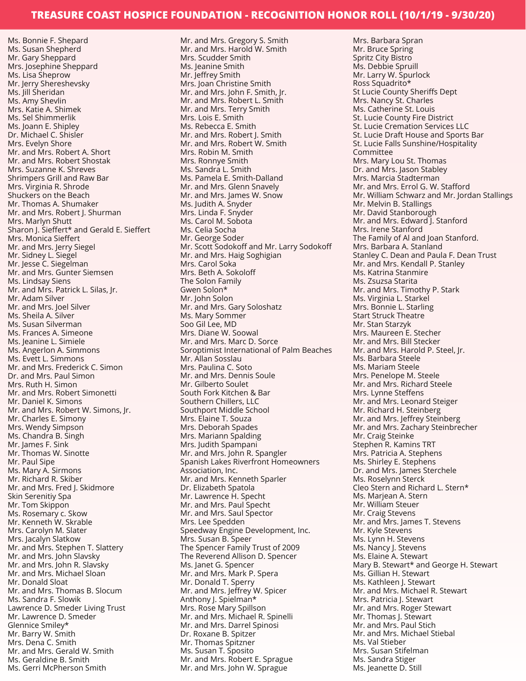Ms. Bonnie F. Shepard Ms. Susan Shepherd Mr. Gary Sheppard Mrs. Josephine Sheppard Ms. Lisa Sheprow Mr. Jerry Shereshevsky Ms. Jill Sheridan Ms. Amy Shevlin Mrs. Katie A. Shimek Ms. Sel Shimmerlik Ms. Joann E. Shipley Dr. Michael C. Shisler Mrs. Evelyn Shore Mr. and Mrs. Robert A. Short Mr. and Mrs. Robert Shostak Mrs. Suzanne K. Shreves Shrimpers Grill and Raw Bar Mrs. Virginia R. Shrode Shuckers on the Beach Mr. Thomas A. Shumaker Mr. and Mrs. Robert J. Shurman Mrs. Marlyn Shutt Sharon J. Sieffert\* and Gerald E. Sieffert Mrs. Monica Sieffert Mr. and Mrs. Jerry Siegel Mr. Sidney L. Siegel Mr. Jesse C. Siegelman Mr. and Mrs. Gunter Siemsen Ms. Lindsay Siens Mr. and Mrs. Patrick L. Silas, Jr. Mr. Adam Silver Mr. and Mrs. Joel Silver Ms. Sheila A. Silver Ms. Susan Silverman Ms. Frances A. Simeone Ms. Jeanine L. Simiele Ms. Angerlon A. Simmons Ms. Evett L. Simmons Mr. and Mrs. Frederick C. Simon Dr. and Mrs. Paul Simon Mrs. Ruth H. Simon Mr. and Mrs. Robert Simonetti Mr. Daniel K. Simons Mr. and Mrs. Robert W. Simons, Jr. Mr. Charles E. Simony Mrs. Wendy Simpson Ms. Chandra B. Singh Mr. James F. Sink Mr. Thomas W. Sinotte Mr. Paul Sipe Ms. Mary A. Sirmons Mr. Richard R. Skiber Mr. and Mrs. Fred J. Skidmore Skin Serenitiy Spa Mr. Tom Skippon Ms. Rosemary c. Skow Mr. Kenneth W. Skrable Mrs. Carolyn M. Slater Mrs. Jacalyn Slatkow Mr. and Mrs. Stephen T. Slattery Mr. and Mrs. John Slavsky Mr. and Mrs. John R. Slavsky Mr. and Mrs. Michael Sloan Mr. Donald Sloat Mr. and Mrs. Thomas B. Slocum Ms. Sandra F. Slowik Lawrence D. Smeder Living Trust Mr. Lawrence D. Smeder Glennice Smiley\* Mr. Barry W. Smith Mrs. Dena C. Smith Mr. and Mrs. Gerald W. Smith Ms. Geraldine B. Smith

Ms. Gerri McPherson Smith

Mr. and Mrs. Gregory S. Smith Mr. and Mrs. Harold W. Smith Mrs. Scudder Smith Ms. Jeanine Smith Mr. Jeffrey Smith Mrs. Joan Christine Smith Mr. and Mrs. John F. Smith, Jr. Mr. and Mrs. Robert L. Smith Mr. and Mrs. Terry Smith Mrs. Lois E. Smith Ms. Rebecca E. Smith Mr. and Mrs. Robert J. Smith Mr. and Mrs. Robert W. Smith Mrs. Robin M. Smith Mrs. Ronnye Smith Ms. Sandra L. Smith Ms. Pamela E. Smith-Dalland Mr. and Mrs. Glenn Snavely Mr. and Mrs. James W. Snow Ms. Judith A. Snyder Mrs. Linda F. Snyder Ms. Carol M. Sobota Ms. Celia Socha Mr. George Soder Mr. Scott Sodokoff and Mr. Larry Sodokoff Mr. and Mrs. Haig Soghigian Mrs. Carol Soka Mrs. Beth A. Sokoloff The Solon Family Gwen Solon\* Mr. John Solon Mr. and Mrs. Gary Soloshatz Ms. Mary Sommer Soo Gil Lee, MD Mrs. Diane W. Soowal Mr. and Mrs. Marc D. Sorce Soroptimist International of Palm Beaches Mr. Allan Sosslau Mrs. Paulina C. Soto Mr. and Mrs. Dennis Soule Mr. Gilberto Soulet South Fork Kitchen & Bar Southern Chillers, LLC Southport Middle School Mrs. Elaine T. Souza Mrs. Deborah Spades Mrs. Mariann Spalding Mrs. Judith Spampani Mr. and Mrs. John R. Spangler Spanish Lakes Riverfront Homeowners Association, Inc. Mr. and Mrs. Kenneth Sparler Dr. Elizabeth Spatola Mr. Lawrence H. Specht Mr. and Mrs. Paul Specht Mr. and Mrs. Saul Spector Mrs. Lee Spedden Speedway Engine Development, Inc. Mrs. Susan B. Speer The Spencer Family Trust of 2009 The Reverend Allison D. Spencer Ms. Janet G. Spencer Mr. and Mrs. Mark P. Spera Mr. Donald T. Sperry Mr. and Mrs. Jeffrey W. Spicer Anthony J. Spielman\* Mrs. Rose Mary Spillson Mr. and Mrs. Michael R. Spinelli Mr. and Mrs. Darrel Spinosi Dr. Roxane B. Spitzer Mr. Thomas Spitzner Ms. Susan T. Sposito Mr. and Mrs. Robert E. Sprague Mr. and Mrs. John W. Sprague

Mrs. Barbara Spran Mr. Bruce Spring Spritz City Bistro Ms. Debbie Spruill Mr. Larry W. Spurlock Ross Squadrito\* St Lucie County Sheriffs Dept Mrs. Nancy St. Charles Ms. Catherine St. Louis St. Lucie County Fire District St. Lucie Cremation Services LLC St. Lucie Draft House and Sports Bar St. Lucie Falls Sunshine/Hospitality Committee Mrs. Mary Lou St. Thomas Dr. and Mrs. Jason Stabley Mrs. Marcia Stadterman Mr. and Mrs. Errol G. W. Stafford Mr. William Schwarz and Mr. Jordan Stallings Mr. Melvin B. Stallings Mr. David Stanborough Mr. and Mrs. Edward J. Stanford Mrs. Irene Stanford The Family of Al and Joan Stanford. Mrs. Barbara A. Stanland Stanley C. Dean and Paula F. Dean Trust Mr. and Mrs. Kendall P. Stanley Ms. Katrina Stanmire Ms. Zsuzsa Starita Mr. and Mrs. Timothy P. Stark Ms. Virginia L. Starkel Mrs. Bonnie L. Starling Start Struck Theatre Mr. Stan Starzyk Mrs. Maureen E. Stecher Mr. and Mrs. Bill Stecker Mr. and Mrs. Harold P. Steel, Jr. Ms. Barbara Steele Ms. Mariam Steele Mrs. Penelope M. Steele Mr. and Mrs. Richard Steele Mrs. Lynne Steffens Mr. and Mrs. Leonard Steiger Mr. Richard H. Steinberg Mr. and Mrs. Jeffrey Steinberg Mr. and Mrs. Zachary Steinbrecher Mr. Craig Steinke Stephen R. Kamins TRT Mrs. Patricia A. Stephens Ms. Shirley E. Stephens Dr. and Mrs. James Sterchele Ms. Roselynn Sterck Cleo Stern and Richard L. Stern\* Ms. Marjean A. Stern Mr. William Steuer Mr. Craig Stevens Mr. and Mrs. James T. Stevens Mr. Kyle Stevens Ms. Lynn H. Stevens Ms. Nancy J. Stevens Ms. Elaine A. Stewart Mary B. Stewart\* and George H. Stewart Ms. Gillian H. Stewart Ms. Kathleen J. Stewart Mr. and Mrs. Michael R. Stewart Mrs. Patricia J. Stewart Mr. and Mrs. Roger Stewart Mr. Thomas J. Stewart Mr. and Mrs. Paul Stich Mr. and Mrs. Michael Stiebal Ms. Val Stieber Mrs. Susan Stifelman Ms. Sandra Stiger Ms. Jeanette D. Still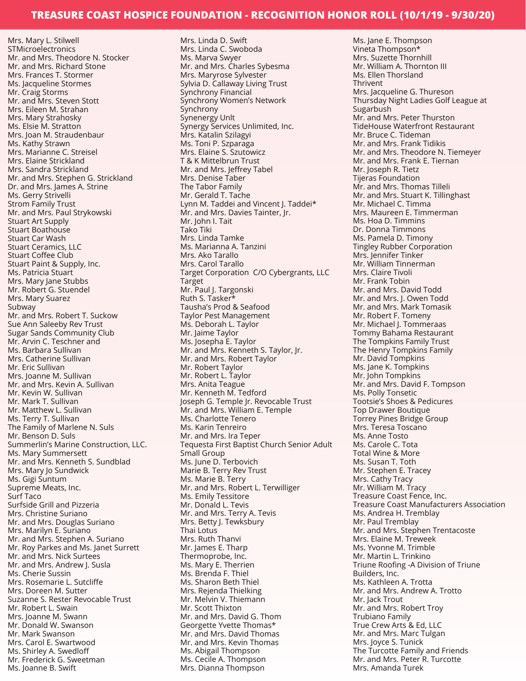Mrs. Mary L. Stilwell STMicroelectronics Mr. and Mrs. Theodore N. Stocker Mr. and Mrs. Richard Stone Mrs. Frances T. Stormer Ms. Jacqueline Stormes Mr. Craig Storms Mr. and Mrs. Steven Stott Mrs. Eileen M. Strahan Mrs. Mary Strahosky Ms. Elsie M. Stratton Mrs. Joan M. Straudenbaur Ms. Kathy Strawn Mrs. Marianne C. Streisel Mrs. Elaine Strickland Mrs. Sandra Strickland Mr. and Mrs. Stephen G. Strickland Dr. and Mrs. James A. Strine Ms. Gerry Strivelli Strom Family Trust Mr. and Mrs. Paul Strykowski Stuart Art Supply Stuart Boathouse Stuart Car Wash Stuart Ceramics, LLC Stuart Coffee Club Stuart Paint & Supply, Inc. Ms. Patricia Stuart Mrs. Mary Jane Stubbs Mr. Robert G. Stuendel Mrs. Mary Suarez Subway Mr. and Mrs. Robert T. Suckow Sue Ann Saleeby Rev Trust Sugar Sands Community Club Mr. Arvin C. Teschner and Ms. Barbara Sullivan Mrs. Catherine Sullivan Mr. Eric Sullivan Mrs. Joanne M. Sullivan Mr. and Mrs. Kevin A. Sullivan Mr. Kevin W. Sullivan Mr. Mark T. Sullivan Mr. Matthew L. Sullivan Ms. Terry T. Sullivan The Family of Marlene N. Suls Mr. Benson D. Suls Summerlin's Marine Construction, LLC. Ms. Mary Summersett Mr. and Mrs. Kenneth S. Sundblad Mrs. Mary Jo Sundwick Ms. Gigi Suntum Supreme Meats, Inc. Surf Taco Surfside Grill and Pizzeria Mrs. Christine Suriano Mr. and Mrs. Douglas Suriano Mrs. Marilyn E. Suriano Mr. and Mrs. Stephen A. Suriano Mr. Roy Parkes and Ms. Janet Surrett Mr. and Mrs. Nick Surtees Mr. and Mrs. Andrew J. Susla Ms. Cherie Sussin Mrs. Rosemarie L. Sutcliffe Mrs. Doreen M. Sutter Suzanne S. Rester Revocable Trust Mr. Robert L. Swain Mrs. Joanne M. Swann Mr. Donald W. Swanson Mr. Mark Swanson Mrs. Carol E. Swartwood Ms. Shirley A. Swedloff Mr. Frederick G. Sweetman

Ms. Joanne B. Swift

Mrs. Linda D. Swift Mrs. Linda C. Swoboda Ms. Marva Swyer Mr. and Mrs. Charles Sybesma Mrs. Maryrose Sylvester Sylvia D. Callaway Living Trust Synchrony Financial Synchrony Women's Network Synchrony Synenergy Unlt Synergy Services Unlimited, Inc. Mrs. Katalin Szilagyi Ms. Toni P. Szparaga Mrs. Elaine S. Szutowicz T & K Mittelbrun Trust Mr. and Mrs. Jeffrey Tabel Mrs. Denise Taber The Tabor Family Mr. Gerald T. Tache Lynn M. Taddei and Vincent J. Taddei\* Mr. and Mrs. Davies Tainter, Jr. Mr. John I. Tait Tako Tiki Mrs. Linda Tamke Ms. Marianna A. Tanzini Mrs. Ako Tarallo Mrs. Carol Tarallo Target Corporation C/O Cybergrants, LLC Target Mr. Paul J. Targonski Ruth S. Tasker\* Tausha's Prod & Seafood Taylor Pest Management Ms. Deborah L. Taylor Mr. Jaime Taylor Ms. Josepha E. Taylor Mr. and Mrs. Kenneth S. Taylor, Jr. Mr. and Mrs. Robert Taylor Mr. Robert Taylor Mr. Robert L. Taylor Mrs. Anita Teague Mr. Kenneth M. Tedford Joseph G. Temple Jr. Revocable Trust Mr. and Mrs. William E. Temple Ms. Charlotte Tenero Ms. Karin Tenreiro Mr. and Mrs. Ira Teper Tequesta First Baptist Church Senior Adult Small Group Ms. June D. Terbovich Marie B. Terry Rev Trust Ms. Marie B. Terry Mr. and Mrs. Robert L. Terwilliger Ms. Emily Tessitore Mr. Donald L. Tevis Mr. and Mrs. Terry A. Tevis Mrs. Betty J. Tewksbury Thai Lotus Mrs. Ruth Thanvi Mr. James E. Tharp Thermoprobe, Inc. Ms. Mary E. Therrien Ms. Brenda F. Thiel Ms. Sharon Beth Thiel Mrs. Rejenda Thielking Mr. Melvin V. Thiemann Mr. Scott Thixton Mr. and Mrs. David G. Thom Georgette Yvette Thomas\* Mr. and Mrs. David Thomas Mr. and Mrs. Kevin Thomas Ms. Abigail Thompson Ms. Cecile A. Thompson Mrs. Dianna Thompson

Ms. Jane E. Thompson Vineta Thompson\* Mrs. Suzette Thornhill Mr. William A. Thornton III Ms. Ellen Thorsland Thrivent Mrs. Jacqueline G. Thureson Thursday Night Ladies Golf League at Sugarbush Mr. and Mrs. Peter Thurston TideHouse Waterfront Restaurant Mr. Bruce C. Tideman Mr. and Mrs. Frank Tidikis Mr. and Mrs. Theodore N. Tiemeyer Mr. and Mrs. Frank E. Tiernan Mr. Joseph R. Tietz Tijeras Foundation Mr. and Mrs. Thomas Tilleli Mr. and Mrs. Stuart K. Tillinghast Mr. Michael C. Timma Mrs. Maureen E. Timmerman Ms. Hoa D. Timmins Dr. Donna Timmons Ms. Pamela D. Timony Tingley Rubber Corporation Mrs. Jennifer Tinker Mr. William Tinnerman Mrs. Claire Tivoli Mr. Frank Tobin Mr. and Mrs. David Todd Mr. and Mrs. J. Owen Todd Mr. and Mrs. Mark Tomasik Mr. Robert F. Tomeny Mr. Michael J. Tommeraas Tommy Bahama Restaurant The Tompkins Family Trust The Henry Tompkins Family Mr. David Tompkins Ms. Jane K. Tompkins Mr. John Tompkins Mr. and Mrs. David F. Tompson Ms. Polly Tonsetic Tootsie's Shoes & Pedicures Top Drawer Boutique Torrey Pines Bridge Group Mrs. Teresa Toscano Ms. Anne Tosto Ms. Carole C. Tota Total Wine & More Ms. Susan T. Toth Mr. Stephen E. Tracey Mrs. Cathy Tracy Mr. William M. Tracy Treasure Coast Fence, Inc. Treasure Coast Manufacturers Association Ms. Andrea H. Tremblay Mr. Paul Tremblay Mr. and Mrs. Stephen Trentacoste Mrs. Elaine M. Treweek Ms. Yvonne M. Trimble Mr. Martin L. Trinkino Triune Roofing -A Division of Triune Builders, Inc. Ms. Kathleen A. Trotta Mr. and Mrs. Andrew A. Trotto Mr. Jack Trout Mr. and Mrs. Robert Troy Trubiano Family True Crew Arts & Ed, LLC Mr. and Mrs. Marc Tulgan Mrs. Joyce S. Tunick The Turcotte Family and Friends Mr. and Mrs. Peter R. Turcotte Mrs. Amanda Turek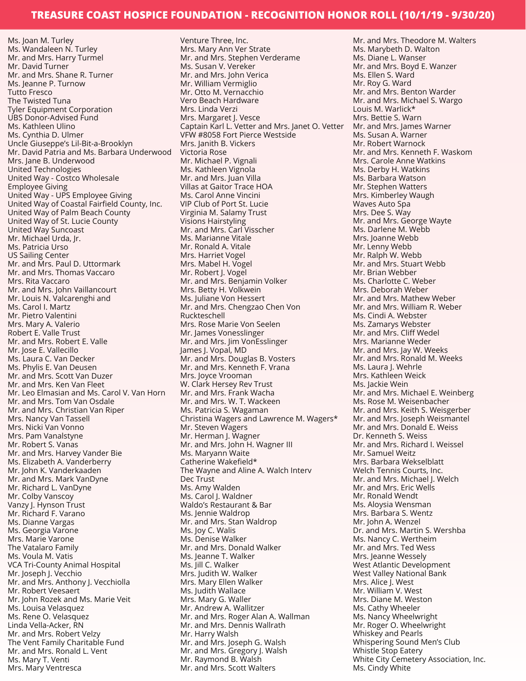Ms. Joan M. Turley Ms. Wandaleen N. Turley Mr. and Mrs. Harry Turmel Mr. David Turner Mr. and Mrs. Shane R. Turner Ms. Jeanne P. Turnow Tutto Fresco The Twisted Tuna Tyler Equipment Corporation UBS Donor-Advised Fund Ms. Kathleen Ulino Ms. Cynthia D. Ulmer Uncle Giuseppe's Lil-Bit-a-Brooklyn Mr. David Patria and Ms. Barbara Underwood Mrs. Jane B. Underwood United Technologies United Way - Costco Wholesale Employee Giving United Way - UPS Employee Giving United Way of Coastal Fairfield County, Inc. United Way of Palm Beach County United Way of St. Lucie County United Way Suncoast Mr. Michael Urda, Jr. Ms. Patricia Urso US Sailing Center Mr. and Mrs. Paul D. Uttormark Mr. and Mrs. Thomas Vaccaro Mrs. Rita Vaccaro Mr. and Mrs. John Vaillancourt Mr. Louis N. Valcarenghi and Ms. Carol I. Martz Mr. Pietro Valentini Mrs. Mary A. Valerio Robert E. Valle Trust Mr. and Mrs. Robert E. Valle Mr. Jose E. Vallecillo Ms. Laura C. Van Decker Ms. Phylis E. Van Deusen Mr. and Mrs. Scott Van Duzer Mr. and Mrs. Ken Van Fleet Mr. Leo Elmasian and Ms. Carol V. Van Horn Mr. and Mrs. Tom Van Osdale Mr. and Mrs. Christian Van Riper Mrs. Nancy Van Tassell Mrs. Nicki Van Vonno Mrs. Pam Vanalstyne Mr. Robert S. Vanas Mr. and Mrs. Harvey Vander Bie Ms. Elizabeth A. Vanderberry Mr. John K. Vanderkaaden Mr. and Mrs. Mark VanDyne Mr. Richard L. VanDyne Mr. Colby Vanscoy Vanzy J. Hynson Trust Mr. Richard F. Varano Ms. Dianne Vargas Ms. Georgia Varone Mrs. Marie Varone The Vatalaro Family Ms. Voula M. Vatis VCA Tri-County Animal Hospital Mr. Joseph J. Vecchio Mr. and Mrs. Anthony J. Vecchiolla Mr. Robert Veesaert Mr. John Rozek and Ms. Marie Veit Ms. Louisa Velasquez Ms. Rene O. Velasquez Linda Vella-Acker, RN Mr. and Mrs. Robert Velzy The Vent Family Charitable Fund Mr. and Mrs. Ronald L. Vent Ms. Mary T. Venti Mrs. Mary Ventresca

Venture Three, Inc. Mrs. Mary Ann Ver Strate Mr. and Mrs. Stephen Verderame Ms. Susan V. Vereker Mr. and Mrs. John Verica Mr. William Vermiglio Mr. Otto M. Vernacchio Vero Beach Hardware Mrs. Linda Verzi Mrs. Margaret J. Vesce Captain Karl L. Vetter and Mrs. Janet O. Vetter VFW #8058 Fort Pierce Westside Mrs. Janith B. Vickers Victoria Rose Mr. Michael P. Vignali Ms. Kathleen Vignola Mr. and Mrs. Juan Villa Villas at Gaitor Trace HOA Ms. Carol Anne Vincini VIP Club of Port St. Lucie Virginia M. Salamy Trust Visions Hairstyling Mr. and Mrs. Carl Visscher Ms. Marianne Vitale Mr. Ronald A. Vitale Mrs. Harriet Vogel Mrs. Mabel H. Vogel Mr. Robert J. Vogel Mr. and Mrs. Benjamin Volker Mrs. Betty H. Volkwein Ms. Juliane Von Hessert Mr. and Mrs. Chengzao Chen Von Ruckteschell Mrs. Rose Marie Von Seelen Mr. James Vonesslinger Mr. and Mrs. Jim VonEsslinger James J. Vopal, MD Mr. and Mrs. Douglas B. Vosters Mr. and Mrs. Kenneth F. Vrana Mrs. Joyce Vrooman W. Clark Hersey Rev Trust Mr. and Mrs. Frank Wacha Mr. and Mrs. W. T. Wackeen Ms. Patricia S. Wagaman Christina Wagers and Lawrence M. Wagers\* Mr. Steven Wagers Mr. Herman J. Wagner Mr. and Mrs. John H. Wagner III Ms. Maryann Waite Catherine Wakefield\* The Wayne and Aline A. Walch Interv Dec Trust Ms. Amy Walden Ms. Carol J. Waldner Waldo's Restaurant & Bar Ms. Jennie Waldrop Mr. and Mrs. Stan Waldrop Ms. Joy C. Walis Ms. Denise Walker Mr. and Mrs. Donald Walker Ms. Jeanne T. Walker Ms. Jill C. Walker Mrs. Judith W. Walker Mrs. Mary Ellen Walker Ms. Judith Wallace Mrs. Mary G. Waller Mr. Andrew A. Wallitzer Mr. and Mrs. Roger Alan A. Wallman Mr. and Mrs. Dennis Wallrath Mr. Harry Walsh Mr. and Mrs. Joseph G. Walsh Mr. and Mrs. Gregory J. Walsh Mr. Raymond B. Walsh Mr. and Mrs. Scott Walters

Mr. and Mrs. Theodore M. Walters Ms. Marybeth D. Walton Ms. Diane L. Wanser Mr. and Mrs. Boyd E. Wanzer Ms. Ellen S. Ward Mr. Roy G. Ward Mr. and Mrs. Benton Warder Mr. and Mrs. Michael S. Wargo Louis M. Warlick\* Mrs. Bettie S. Warn Mr. and Mrs. James Warner Ms. Susan A. Warner Mr. Robert Warnock Mr. and Mrs. Kenneth F. Waskom Mrs. Carole Anne Watkins Ms. Derby H. Watkins Ms. Barbara Watson Mr. Stephen Watters Mrs. Kimberley Waugh Waves Auto Spa Mrs. Dee S. Way Mr. and Mrs. George Wayte Ms. Darlene M. Webb Mrs. Joanne Webb Mr. Lenny Webb Mr. Ralph W. Webb Mr. and Mrs. Stuart Webb Mr. Brian Webber Ms. Charlotte C. Weber Mrs. Deborah Weber Mr. and Mrs. Mathew Weber Mr. and Mrs. William R. Weber Ms. Cindi A. Webster Ms. Zamarys Webster Mr. and Mrs. Cliff Wedel Mrs. Marianne Weder Mr. and Mrs. Jay W. Weeks Mr. and Mrs. Ronald M. Weeks Ms. Laura J. Wehrle Mrs. Kathleen Weick Ms. Jackie Wein Mr. and Mrs. Michael E. Weinberg Ms. Rose M. Weisenbacher Mr. and Mrs. Keith S. Weisgerber Mr. and Mrs. Joseph Weismantel Mr. and Mrs. Donald E. Weiss Dr. Kenneth S. Weiss Mr. and Mrs. Richard I. Weissel Mr. Samuel Weitz Mrs. Barbara Wekselblatt Welch Tennis Courts, Inc. Mr. and Mrs. Michael J. Welch Mr. and Mrs. Eric Wells Mr. Ronald Wendt Ms. Aloysia Wensman Mrs. Barbara S. Wentz Mr. John A. Wenzel Dr. and Mrs. Martin S. Wershba Ms. Nancy C. Wertheim Mr. and Mrs. Ted Wess Mrs. Jeanne Wessely West Atlantic Development West Valley National Bank Mrs. Alice J. West Mr. William V. West Mrs. Diane M. Weston Ms. Cathy Wheeler Ms. Nancy Wheelwright Mr. Roger O. Wheelwright Whiskey and Pearls Whispering Sound Men's Club Whistle Stop Eatery White City Cemetery Association, Inc. Ms. Cindy White